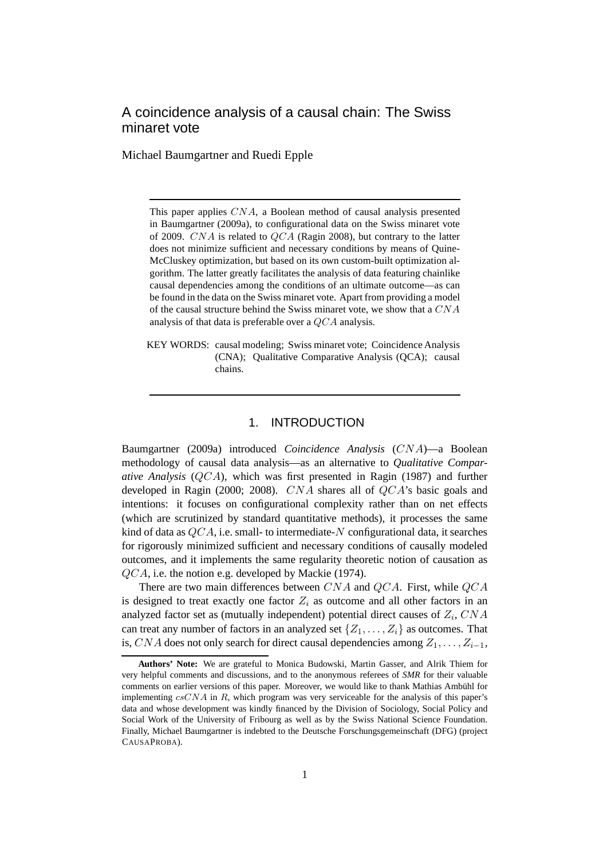# A coincidence analysis of a causal chain: The Swiss minaret vote

Michael Baumgartner and Ruedi Epple

This paper applies CNA, a Boolean method of causal analysis presented in Baumgartner (2009a), to configurational data on the Swiss minaret vote of 2009. CNA is related to QCA (Ragin 2008), but contrary to the latter does not minimize sufficient and necessary conditions by means of Quine-McCluskey optimization, but based on its own custom-built optimization algorithm. The latter greatly facilitates the analysis of data featuring chainlike causal dependencies among the conditions of an ultimate outcome—as can be found in the data on the Swiss minaret vote. Apart from providing a model of the causal structure behind the Swiss minaret vote, we show that a CNA analysis of that data is preferable over a QCA analysis.

KEY WORDS: causal modeling; Swiss minaret vote; Coincidence Analysis (CNA); Qualitative Comparative Analysis (QCA); causal chains.

#### 1. INTRODUCTION

Baumgartner (2009a) introduced *Coincidence Analysis* (CNA)—a Boolean methodology of causal data analysis—as an alternative to *Qualitative Comparative Analysis* (QCA), which was first presented in Ragin (1987) and further developed in Ragin (2000; 2008). CNA shares all of QCA's basic goals and intentions: it focuses on configurational complexity rather than on net effects (which are scrutinized by standard quantitative methods), it processes the same kind of data as  $QCA$ , i.e. small- to intermediate-N configurational data, it searches for rigorously minimized sufficient and necessary conditions of causally modeled outcomes, and it implements the same regularity theoretic notion of causation as QCA, i.e. the notion e.g. developed by Mackie (1974).

There are two main differences between CNA and QCA. First, while QCA is designed to treat exactly one factor  $Z_i$  as outcome and all other factors in an analyzed factor set as (mutually independent) potential direct causes of  $Z_i$ ,  $CNA$ can treat any number of factors in an analyzed set  $\{Z_1, \ldots, Z_i\}$  as outcomes. That is, CNA does not only search for direct causal dependencies among  $Z_1, \ldots, Z_{i-1}$ ,

**Authors' Note:** We are grateful to Monica Budowski, Martin Gasser, and Alrik Thiem for very helpful comments and discussions, and to the anonymous referees of *SMR* for their valuable comments on earlier versions of this paper. Moreover, we would like to thank Mathias Ambühl for implementing csCNA in R, which program was very serviceable for the analysis of this paper's data and whose development was kindly financed by the Division of Sociology, Social Policy and Social Work of the University of Fribourg as well as by the Swiss National Science Foundation. Finally, Michael Baumgartner is indebted to the Deutsche Forschungsgemeinschaft (DFG) (project CAUSAPROBA).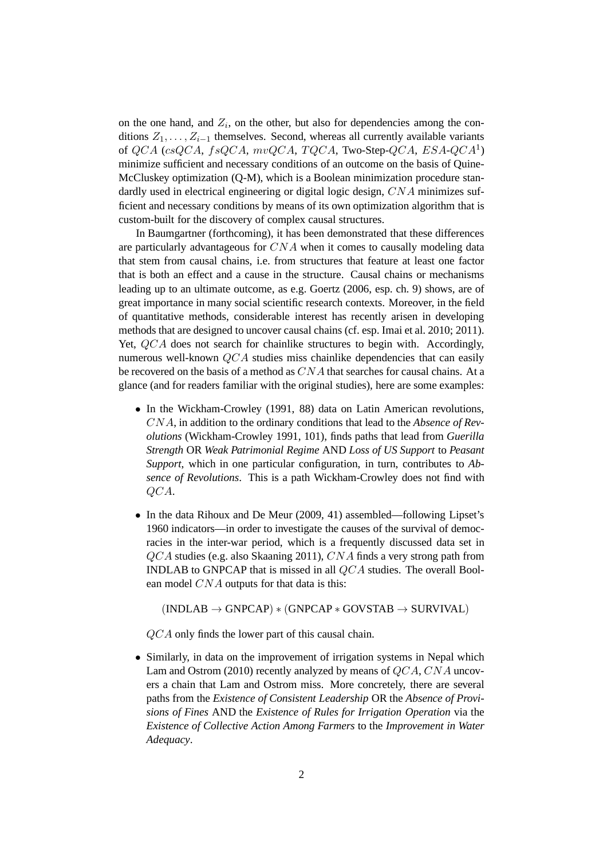on the one hand, and  $Z_i$ , on the other, but also for dependencies among the conditions  $Z_1, \ldots, Z_{i-1}$  themselves. Second, whereas all currently available variants of  $QCA$  (csQCA,  $fsQCA$ ,  $mvQCA$ ,  $TQCA$ , Two-Step-QCA,  $ESA\text{-}QCA^1)$ minimize sufficient and necessary conditions of an outcome on the basis of Quine-McCluskey optimization (Q-M), which is a Boolean minimization procedure standardly used in electrical engineering or digital logic design, CNA minimizes sufficient and necessary conditions by means of its own optimization algorithm that is custom-built for the discovery of complex causal structures.

In Baumgartner (forthcoming), it has been demonstrated that these differences are particularly advantageous for CNA when it comes to causally modeling data that stem from causal chains, i.e. from structures that feature at least one factor that is both an effect and a cause in the structure. Causal chains or mechanisms leading up to an ultimate outcome, as e.g. Goertz (2006, esp. ch. 9) shows, are of great importance in many social scientific research contexts. Moreover, in the field of quantitative methods, considerable interest has recently arisen in developing methods that are designed to uncover causal chains (cf. esp. Imai et al. 2010; 2011). Yet, QCA does not search for chainlike structures to begin with. Accordingly, numerous well-known  $QCA$  studies miss chainlike dependencies that can easily be recovered on the basis of a method as  $CNA$  that searches for causal chains. At a glance (and for readers familiar with the original studies), here are some examples:

- In the Wickham-Crowley (1991, 88) data on Latin American revolutions, CNA, in addition to the ordinary conditions that lead to the *Absence of Revolutions* (Wickham-Crowley 1991, 101), finds paths that lead from *Guerilla Strength* OR *Weak Patrimonial Regime* AND *Loss of US Support* to *Peasant Support*, which in one particular configuration, in turn, contributes to *Absence of Revolutions*. This is a path Wickham-Crowley does not find with QCA.
- In the data Rihoux and De Meur (2009, 41) assembled—following Lipset's 1960 indicators—in order to investigate the causes of the survival of democracies in the inter-war period, which is a frequently discussed data set in QCA studies (e.g. also Skaaning 2011), CNA finds a very strong path from INDLAB to GNPCAP that is missed in all QCA studies. The overall Boolean model  $CNA$  outputs for that data is this:

 $(INDLAB \rightarrow GNPCAP) * (GNPCAP * GOVSTAB \rightarrow SURVIVAL)$ 

QCA only finds the lower part of this causal chain.

• Similarly, in data on the improvement of irrigation systems in Nepal which Lam and Ostrom (2010) recently analyzed by means of QCA, CNA uncovers a chain that Lam and Ostrom miss. More concretely, there are several paths from the *Existence of Consistent Leadership* OR the *Absence of Provisions of Fines* AND the *Existence of Rules for Irrigation Operation* via the *Existence of Collective Action Among Farmers* to the *Improvement in Water Adequacy*.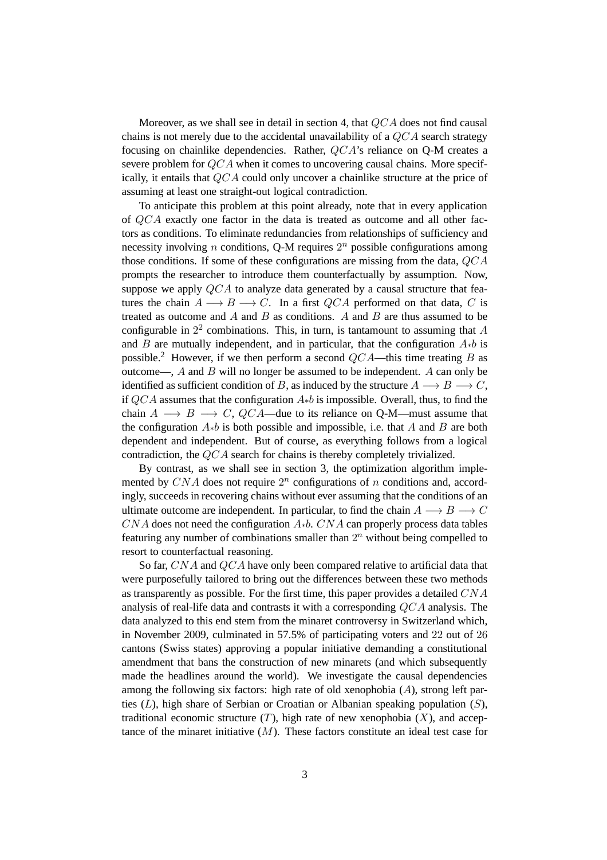Moreover, as we shall see in detail in section 4, that QCA does not find causal chains is not merely due to the accidental unavailability of a  $QCA$  search strategy focusing on chainlike dependencies. Rather, QCA's reliance on Q-M creates a severe problem for  $QCA$  when it comes to uncovering causal chains. More specifically, it entails that QCA could only uncover a chainlike structure at the price of assuming at least one straight-out logical contradiction.

To anticipate this problem at this point already, note that in every application of QCA exactly one factor in the data is treated as outcome and all other factors as conditions. To eliminate redundancies from relationships of sufficiency and necessity involving *n* conditions, Q-M requires  $2^n$  possible configurations among those conditions. If some of these configurations are missing from the data,  $QCA$ prompts the researcher to introduce them counterfactually by assumption. Now, suppose we apply  $QCA$  to analyze data generated by a causal structure that features the chain  $A \longrightarrow B \longrightarrow C$ . In a first QCA performed on that data, C is treated as outcome and  $A$  and  $B$  as conditions.  $A$  and  $B$  are thus assumed to be configurable in  $2^2$  combinations. This, in turn, is tantamount to assuming that A and B are mutually independent, and in particular, that the configuration  $A_{\ast}b$  is possible.<sup>2</sup> However, if we then perform a second  $QCA$ —this time treating B as outcome—,  $A$  and  $B$  will no longer be assumed to be independent.  $A$  can only be identified as sufficient condition of B, as induced by the structure  $A \longrightarrow B \longrightarrow C$ , if  $QCA$  assumes that the configuration  $A*b$  is impossible. Overall, thus, to find the chain  $A \longrightarrow B \longrightarrow C$ , QCA—due to its reliance on Q-M—must assume that the configuration  $A * b$  is both possible and impossible, i.e. that A and B are both dependent and independent. But of course, as everything follows from a logical contradiction, the QCA search for chains is thereby completely trivialized.

By contrast, as we shall see in section 3, the optimization algorithm implemented by  $CNA$  does not require  $2^n$  configurations of n conditions and, accordingly, succeeds in recovering chains without ever assuming that the conditions of an ultimate outcome are independent. In particular, to find the chain  $A \longrightarrow B \longrightarrow C$  $CNA$  does not need the configuration  $A<sub>*</sub>b$ .  $CNA$  can properly process data tables featuring any number of combinations smaller than  $2<sup>n</sup>$  without being compelled to resort to counterfactual reasoning.

So far, CNA and QCA have only been compared relative to artificial data that were purposefully tailored to bring out the differences between these two methods as transparently as possible. For the first time, this paper provides a detailed  $CNA$ analysis of real-life data and contrasts it with a corresponding QCA analysis. The data analyzed to this end stem from the minaret controversy in Switzerland which, in November 2009, culminated in 57.5% of participating voters and 22 out of 26 cantons (Swiss states) approving a popular initiative demanding a constitutional amendment that bans the construction of new minarets (and which subsequently made the headlines around the world). We investigate the causal dependencies among the following six factors: high rate of old xenophobia  $(A)$ , strong left parties  $(L)$ , high share of Serbian or Croatian or Albanian speaking population  $(S)$ , traditional economic structure  $(T)$ , high rate of new xenophobia  $(X)$ , and acceptance of the minaret initiative  $(M)$ . These factors constitute an ideal test case for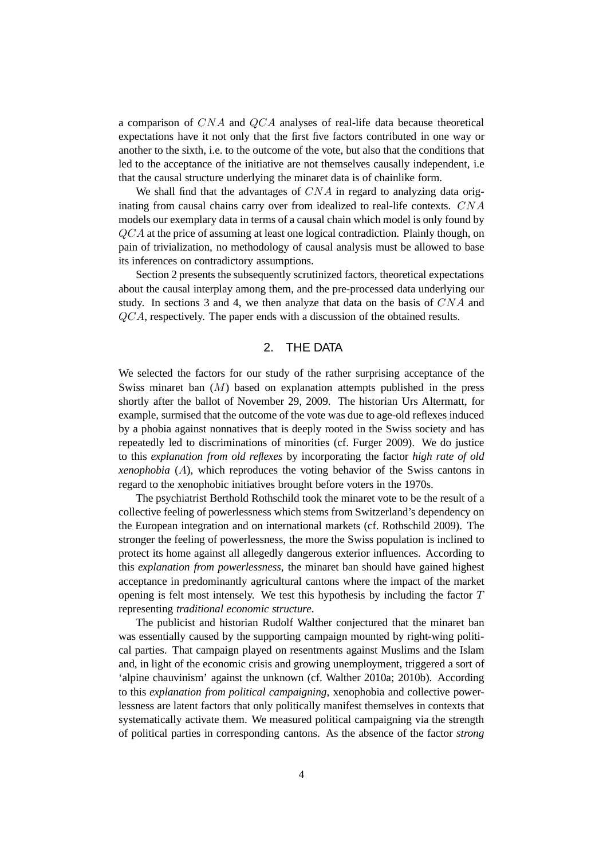a comparison of CNA and QCA analyses of real-life data because theoretical expectations have it not only that the first five factors contributed in one way or another to the sixth, i.e. to the outcome of the vote, but also that the conditions that led to the acceptance of the initiative are not themselves causally independent, i.e that the causal structure underlying the minaret data is of chainlike form.

We shall find that the advantages of  $CNA$  in regard to analyzing data originating from causal chains carry over from idealized to real-life contexts. CNA models our exemplary data in terms of a causal chain which model is only found by QCA at the price of assuming at least one logical contradiction. Plainly though, on pain of trivialization, no methodology of causal analysis must be allowed to base its inferences on contradictory assumptions.

Section 2 presents the subsequently scrutinized factors, theoretical expectations about the causal interplay among them, and the pre-processed data underlying our study. In sections 3 and 4, we then analyze that data on the basis of CNA and QCA, respectively. The paper ends with a discussion of the obtained results.

## 2. THE DATA

We selected the factors for our study of the rather surprising acceptance of the Swiss minaret ban (M) based on explanation attempts published in the press shortly after the ballot of November 29, 2009. The historian Urs Altermatt, for example, surmised that the outcome of the vote was due to age-old reflexes induced by a phobia against nonnatives that is deeply rooted in the Swiss society and has repeatedly led to discriminations of minorities (cf. Furger 2009). We do justice to this *explanation from old reflexes* by incorporating the factor *high rate of old xenophobia* (A), which reproduces the voting behavior of the Swiss cantons in regard to the xenophobic initiatives brought before voters in the 1970s.

The psychiatrist Berthold Rothschild took the minaret vote to be the result of a collective feeling of powerlessness which stems from Switzerland's dependency on the European integration and on international markets (cf. Rothschild 2009). The stronger the feeling of powerlessness, the more the Swiss population is inclined to protect its home against all allegedly dangerous exterior influences. According to this *explanation from powerlessness*, the minaret ban should have gained highest acceptance in predominantly agricultural cantons where the impact of the market opening is felt most intensely. We test this hypothesis by including the factor  $T$ representing *traditional economic structure*.

The publicist and historian Rudolf Walther conjectured that the minaret ban was essentially caused by the supporting campaign mounted by right-wing political parties. That campaign played on resentments against Muslims and the Islam and, in light of the economic crisis and growing unemployment, triggered a sort of 'alpine chauvinism' against the unknown (cf. Walther 2010a; 2010b). According to this *explanation from political campaigning*, xenophobia and collective powerlessness are latent factors that only politically manifest themselves in contexts that systematically activate them. We measured political campaigning via the strength of political parties in corresponding cantons. As the absence of the factor *strong*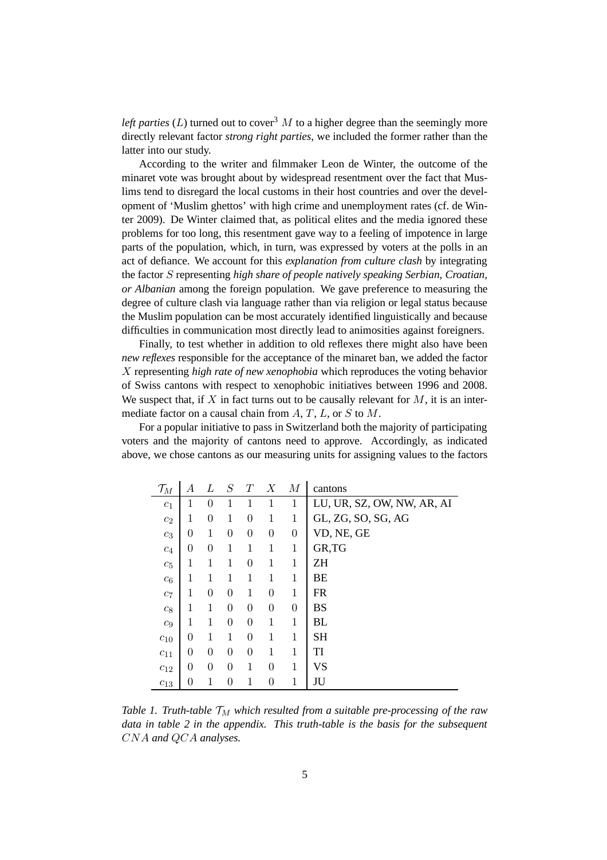*left parties* ( $L$ ) turned out to cover<sup>3</sup> M to a higher degree than the seemingly more directly relevant factor *strong right parties*, we included the former rather than the latter into our study.

According to the writer and filmmaker Leon de Winter, the outcome of the minaret vote was brought about by widespread resentment over the fact that Muslims tend to disregard the local customs in their host countries and over the development of 'Muslim ghettos' with high crime and unemployment rates (cf. de Winter 2009). De Winter claimed that, as political elites and the media ignored these problems for too long, this resentment gave way to a feeling of impotence in large parts of the population, which, in turn, was expressed by voters at the polls in an act of defiance. We account for this *explanation from culture clash* by integrating the factor S representing *high share of people natively speaking Serbian, Croatian, or Albanian* among the foreign population. We gave preference to measuring the degree of culture clash via language rather than via religion or legal status because the Muslim population can be most accurately identified linguistically and because difficulties in communication most directly lead to animosities against foreigners.

Finally, to test whether in addition to old reflexes there might also have been *new reflexes* responsible for the acceptance of the minaret ban, we added the factor X representing *high rate of new xenophobia* which reproduces the voting behavior of Swiss cantons with respect to xenophobic initiatives between 1996 and 2008. We suspect that, if  $X$  in fact turns out to be causally relevant for  $M$ , it is an intermediate factor on a causal chain from  $A, T, L$ , or S to  $M$ .

For a popular initiative to pass in Switzerland both the majority of participating voters and the majority of cantons need to approve. Accordingly, as indicated above, we chose cantons as our measuring units for assigning values to the factors

| $\mathcal{T}_M$  | А        | L              | S              | T              | $\boldsymbol{X}$ | $\overline{M}$ | cantons                    |
|------------------|----------|----------------|----------------|----------------|------------------|----------------|----------------------------|
| c <sub>1</sub>   | 1        | $\theta$       | 1              | 1              | $\mathbf 1$      | 1              | LU, UR, SZ, OW, NW, AR, AI |
| $c_2$            | 1        | 0              | 1              | 0              | 1                | 1              | GL, ZG, SO, SG, AG         |
| $c_3$            | $\theta$ | 1              | $\theta$       | $\overline{0}$ | $\overline{0}$   | $\overline{0}$ | VD, NE, GE                 |
| $c_4$            | $\theta$ | $\overline{0}$ | 1              | 1              | $\mathbf 1$      | 1              | GR, TG                     |
| $c_5$            | 1        | 1              | 1              | $\overline{0}$ | 1                | 1              | <b>ZH</b>                  |
| $c_6$            | 1        | 1              | 1              | 1              | 1                | 1              | BE                         |
| $c_7$            | 1        | 0              | $\theta$       | 1              | $\theta$         | 1              | <b>FR</b>                  |
| $c_{\rm 8}$      | 1        | 1              | $\theta$       | $\overline{0}$ | $\theta$         | $\overline{0}$ | <b>BS</b>                  |
| $\mathfrak{c}_9$ | 1        | 1              | $\theta$       | $\overline{0}$ | 1                | 1              | BL                         |
| $c_{10}$         | $\theta$ | 1              | 1              | 0              | 1                | 1              | <b>SH</b>                  |
| $c_{11}$         | $\theta$ | $\theta$       | $\theta$       | $\theta$       | 1                | 1              | TI                         |
| $c_{12}$         | 0        | $\overline{0}$ | $\overline{0}$ | 1              | $\theta$         | 1              | <b>VS</b>                  |
| $c_{13}$         | 0        | 1              | $\theta$       | 1              | 0                | 1              | JU                         |

*Table 1. Truth-table*  $T_M$  *which resulted from a suitable pre-processing of the raw data in table 2 in the appendix. This truth-table is the basis for the subsequent* CNA *and* QCA *analyses.*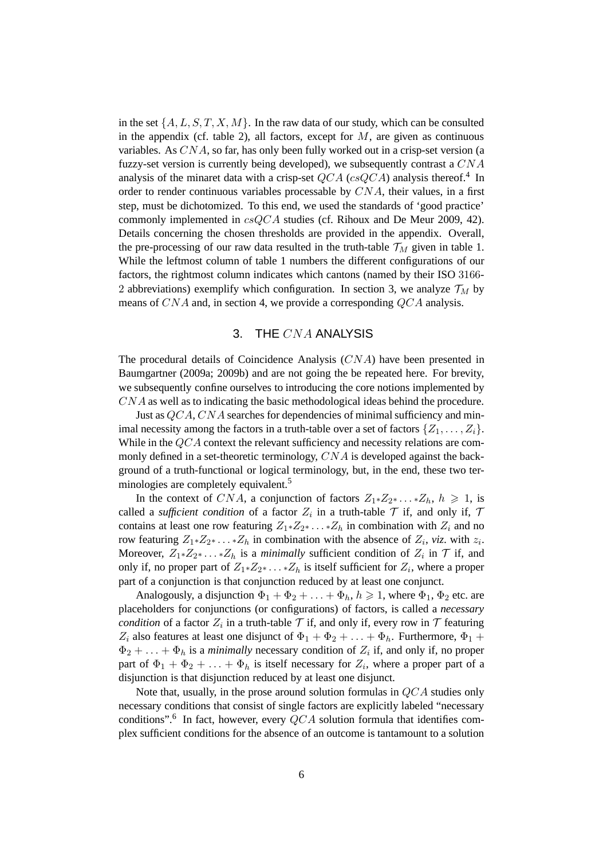in the set  $\{A, L, S, T, X, M\}$ . In the raw data of our study, which can be consulted in the appendix (cf. table 2), all factors, except for  $M$ , are given as continuous variables. As CNA, so far, has only been fully worked out in a crisp-set version (a fuzzy-set version is currently being developed), we subsequently contrast a CNA analysis of the minaret data with a crisp-set  $QCA$  (cs $QCA$ ) analysis thereof.<sup>4</sup> In order to render continuous variables processable by  $CNA$ , their values, in a first step, must be dichotomized. To this end, we used the standards of 'good practice' commonly implemented in csQCA studies (cf. Rihoux and De Meur 2009, 42). Details concerning the chosen thresholds are provided in the appendix. Overall, the pre-processing of our raw data resulted in the truth-table  $\mathcal{T}_M$  given in table 1. While the leftmost column of table 1 numbers the different configurations of our factors, the rightmost column indicates which cantons (named by their ISO 3166- 2 abbreviations) exemplify which configuration. In section 3, we analyze  $\mathcal{T}_M$  by means of CNA and, in section 4, we provide a corresponding QCA analysis.

### 3. THE CNA ANALYSIS

The procedural details of Coincidence Analysis (CNA) have been presented in Baumgartner (2009a; 2009b) and are not going the be repeated here. For brevity, we subsequently confine ourselves to introducing the core notions implemented by CNA as well as to indicating the basic methodological ideas behind the procedure.

Just as QCA, CNA searches for dependencies of minimal sufficiency and minimal necessity among the factors in a truth-table over a set of factors  $\{Z_1, \ldots, Z_i\}$ . While in the QCA context the relevant sufficiency and necessity relations are commonly defined in a set-theoretic terminology, CNA is developed against the background of a truth-functional or logical terminology, but, in the end, these two terminologies are completely equivalent.<sup>5</sup>

In the context of CNA, a conjunction of factors  $Z_1 * Z_2 * ... * Z_h$ ,  $h \ge 1$ , is called a *sufficient condition* of a factor  $Z_i$  in a truth-table  $\mathcal T$  if, and only if,  $\mathcal T$ contains at least one row featuring  $Z_1 * Z_2 * \ldots * Z_h$  in combination with  $Z_i$  and no row featuring  $Z_1 * Z_2 * \ldots * Z_h$  in combination with the absence of  $Z_i$ , *viz*. with  $z_i$ . Moreover,  $Z_1 \times Z_2 \times \ldots \times Z_h$  is a *minimally* sufficient condition of  $Z_i$  in  $\mathcal T$  if, and only if, no proper part of  $Z_1 \times Z_2 \times \ldots \times Z_h$  is itself sufficient for  $Z_i$ , where a proper part of a conjunction is that conjunction reduced by at least one conjunct.

Analogously, a disjunction  $\Phi_1 + \Phi_2 + \ldots + \Phi_h$ ,  $h \ge 1$ , where  $\Phi_1$ ,  $\Phi_2$  etc. are placeholders for conjunctions (or configurations) of factors, is called a *necessary condition* of a factor  $Z_i$  in a truth-table  $\mathcal T$  if, and only if, every row in  $\mathcal T$  featuring  $Z_i$  also features at least one disjunct of  $\Phi_1 + \Phi_2 + \ldots + \Phi_h$ . Furthermore,  $\Phi_1 +$  $\Phi_2 + \ldots + \Phi_h$  is a *minimally* necessary condition of  $Z_i$  if, and only if, no proper part of  $\Phi_1 + \Phi_2 + \ldots + \Phi_h$  is itself necessary for  $Z_i$ , where a proper part of a disjunction is that disjunction reduced by at least one disjunct.

Note that, usually, in the prose around solution formulas in QCA studies only necessary conditions that consist of single factors are explicitly labeled "necessary conditions".<sup>6</sup> In fact, however, every  $QCA$  solution formula that identifies complex sufficient conditions for the absence of an outcome is tantamount to a solution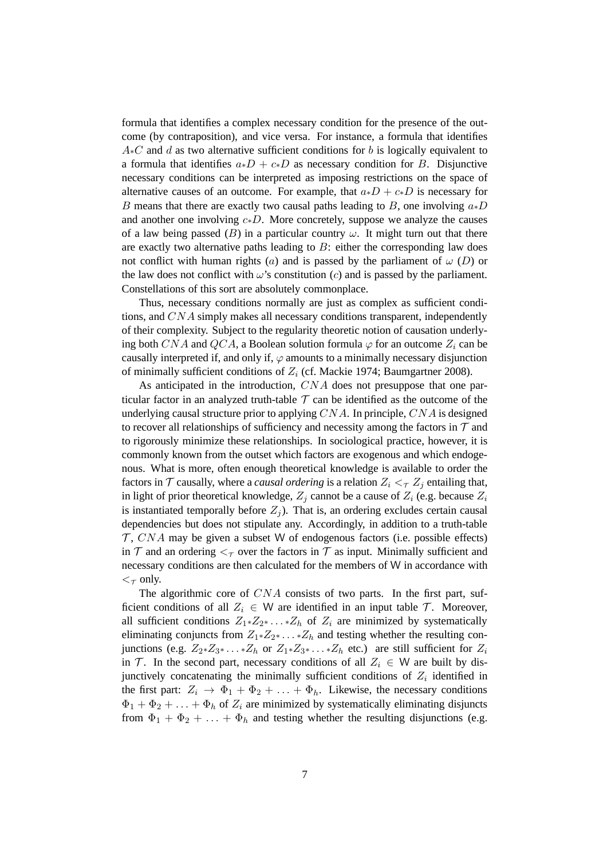formula that identifies a complex necessary condition for the presence of the outcome (by contraposition), and vice versa. For instance, a formula that identifies  $A*C$  and d as two alternative sufficient conditions for b is logically equivalent to a formula that identifies  $a * D + c * D$  as necessary condition for B. Disjunctive necessary conditions can be interpreted as imposing restrictions on the space of alternative causes of an outcome. For example, that  $a * D + c * D$  is necessary for B means that there are exactly two causal paths leading to B, one involving  $a * D$ and another one involving  $c * D$ . More concretely, suppose we analyze the causes of a law being passed (B) in a particular country  $\omega$ . It might turn out that there are exactly two alternative paths leading to  $B$ : either the corresponding law does not conflict with human rights (a) and is passed by the parliament of  $\omega$  (D) or the law does not conflict with  $\omega$ 's constitution (c) and is passed by the parliament. Constellations of this sort are absolutely commonplace.

Thus, necessary conditions normally are just as complex as sufficient conditions, and CNA simply makes all necessary conditions transparent, independently of their complexity. Subject to the regularity theoretic notion of causation underlying both CNA and QCA, a Boolean solution formula  $\varphi$  for an outcome  $Z_i$  can be causally interpreted if, and only if,  $\varphi$  amounts to a minimally necessary disjunction of minimally sufficient conditions of  $Z_i$  (cf. Mackie 1974; Baumgartner 2008).

As anticipated in the introduction, CNA does not presuppose that one particular factor in an analyzed truth-table  $T$  can be identified as the outcome of the underlying causal structure prior to applying  $CNA$ . In principle,  $CNA$  is designed to recover all relationships of sufficiency and necessity among the factors in  $\mathcal T$  and to rigorously minimize these relationships. In sociological practice, however, it is commonly known from the outset which factors are exogenous and which endogenous. What is more, often enough theoretical knowledge is available to order the factors in  $\mathcal T$  causally, where a *causal ordering* is a relation  $Z_i <_{\mathcal T} Z_j$  entailing that, in light of prior theoretical knowledge,  $Z_i$  cannot be a cause of  $Z_i$  (e.g. because  $Z_i$ is instantiated temporally before  $Z_i$ ). That is, an ordering excludes certain causal dependencies but does not stipulate any. Accordingly, in addition to a truth-table  $\mathcal{T}$ , CNA may be given a subset W of endogenous factors (i.e. possible effects) in  $\mathcal T$  and an ordering  $\lt_{\mathcal T}$  over the factors in  $\mathcal T$  as input. Minimally sufficient and necessary conditions are then calculated for the members of W in accordance with  $\lt_{\tau}$  only.

The algorithmic core of  $CNA$  consists of two parts. In the first part, sufficient conditions of all  $Z_i \in W$  are identified in an input table  $T$ . Moreover, all sufficient conditions  $Z_1 * Z_2 * \ldots * Z_h$  of  $Z_i$  are minimized by systematically eliminating conjuncts from  $Z_1 * Z_2 * \ldots * Z_h$  and testing whether the resulting conjunctions (e.g.  $Z_2 * Z_3 * \ldots * Z_h$  or  $Z_1 * Z_3 * \ldots * Z_h$  etc.) are still sufficient for  $Z_i$ in T. In the second part, necessary conditions of all  $Z_i \in W$  are built by disjunctively concatenating the minimally sufficient conditions of  $Z_i$  identified in the first part:  $Z_i \rightarrow \Phi_1 + \Phi_2 + \ldots + \Phi_h$ . Likewise, the necessary conditions  $\Phi_1 + \Phi_2 + \ldots + \Phi_h$  of  $Z_i$  are minimized by systematically eliminating disjuncts from  $\Phi_1 + \Phi_2 + \ldots + \Phi_h$  and testing whether the resulting disjunctions (e.g.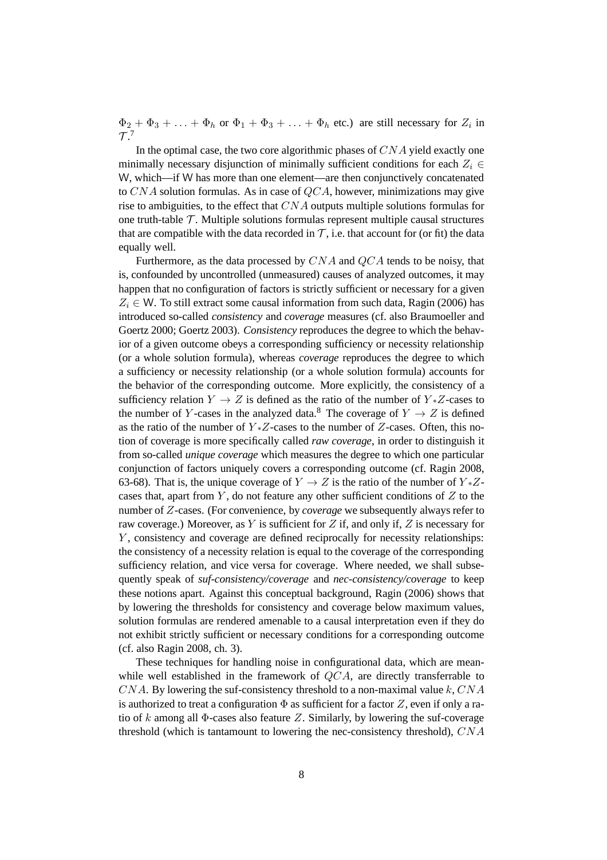$\Phi_2 + \Phi_3 + \ldots + \Phi_h$  or  $\Phi_1 + \Phi_3 + \ldots + \Phi_h$  etc.) are still necessary for  $Z_i$  in  $\mathcal{T}.^7$ 

In the optimal case, the two core algorithmic phases of  $CNA$  yield exactly one minimally necessary disjunction of minimally sufficient conditions for each  $Z_i \in$ W, which—if W has more than one element—are then conjunctively concatenated to  $CNA$  solution formulas. As in case of  $QCA$ , however, minimizations may give rise to ambiguities, to the effect that CNA outputs multiple solutions formulas for one truth-table  $\mathcal T$ . Multiple solutions formulas represent multiple causal structures that are compatible with the data recorded in  $\mathcal{T}$ , i.e. that account for (or fit) the data equally well.

Furthermore, as the data processed by  $CNA$  and  $QCA$  tends to be noisy, that is, confounded by uncontrolled (unmeasured) causes of analyzed outcomes, it may happen that no configuration of factors is strictly sufficient or necessary for a given  $Z_i \in W$ . To still extract some causal information from such data, Ragin (2006) has introduced so-called *consistency* and *coverage* measures (cf. also Braumoeller and Goertz 2000; Goertz 2003). *Consistency* reproduces the degree to which the behavior of a given outcome obeys a corresponding sufficiency or necessity relationship (or a whole solution formula), whereas *coverage* reproduces the degree to which a sufficiency or necessity relationship (or a whole solution formula) accounts for the behavior of the corresponding outcome. More explicitly, the consistency of a sufficiency relation  $Y \to Z$  is defined as the ratio of the number of  $Y \times Z$ -cases to the number of Y-cases in the analyzed data.<sup>8</sup> The coverage of  $Y \rightarrow Z$  is defined as the ratio of the number of  $Y \times Z$ -cases to the number of  $Z$ -cases. Often, this notion of coverage is more specifically called *raw coverage*, in order to distinguish it from so-called *unique coverage* which measures the degree to which one particular conjunction of factors uniquely covers a corresponding outcome (cf. Ragin 2008, 63-68). That is, the unique coverage of  $Y \rightarrow Z$  is the ratio of the number of  $Y \times Z$ cases that, apart from  $Y$ , do not feature any other sufficient conditions of  $Z$  to the number of Z-cases. (For convenience, by *coverage* we subsequently always refer to raw coverage.) Moreover, as Y is sufficient for Z if, and only if, Z is necessary for  $Y$ , consistency and coverage are defined reciprocally for necessity relationships: the consistency of a necessity relation is equal to the coverage of the corresponding sufficiency relation, and vice versa for coverage. Where needed, we shall subsequently speak of *suf-consistency/coverage* and *nec-consistency/coverage* to keep these notions apart. Against this conceptual background, Ragin (2006) shows that by lowering the thresholds for consistency and coverage below maximum values, solution formulas are rendered amenable to a causal interpretation even if they do not exhibit strictly sufficient or necessary conditions for a corresponding outcome (cf. also Ragin 2008, ch. 3).

These techniques for handling noise in configurational data, which are meanwhile well established in the framework of  $QCA$ , are directly transferrable to  $CNA$ . By lowering the suf-consistency threshold to a non-maximal value k,  $CNA$ is authorized to treat a configuration  $\Phi$  as sufficient for a factor Z, even if only a ratio of k among all  $\Phi$ -cases also feature Z. Similarly, by lowering the suf-coverage threshold (which is tantamount to lowering the nec-consistency threshold), CNA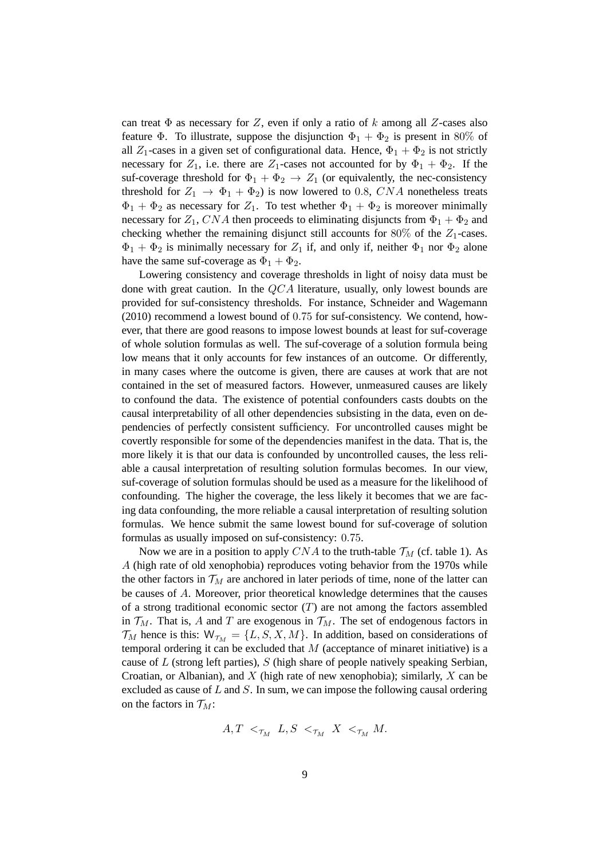can treat  $\Phi$  as necessary for Z, even if only a ratio of k among all Z-cases also feature Φ. To illustrate, suppose the disjunction  $\Phi_1 + \Phi_2$  is present in 80% of all  $Z_1$ -cases in a given set of configurational data. Hence,  $\Phi_1 + \Phi_2$  is not strictly necessary for  $Z_1$ , i.e. there are  $Z_1$ -cases not accounted for by  $\Phi_1 + \Phi_2$ . If the suf-coverage threshold for  $\Phi_1 + \Phi_2 \rightarrow Z_1$  (or equivalently, the nec-consistency threshold for  $Z_1 \rightarrow \Phi_1 + \Phi_2$ ) is now lowered to 0.8, CNA nonetheless treats  $\Phi_1 + \Phi_2$  as necessary for  $Z_1$ . To test whether  $\Phi_1 + \Phi_2$  is moreover minimally necessary for  $Z_1$ , CNA then proceeds to eliminating disjuncts from  $\Phi_1 + \Phi_2$  and checking whether the remaining disjunct still accounts for  $80\%$  of the  $Z_1$ -cases.  $\Phi_1 + \Phi_2$  is minimally necessary for  $Z_1$  if, and only if, neither  $\Phi_1$  nor  $\Phi_2$  alone have the same suf-coverage as  $\Phi_1 + \Phi_2$ .

Lowering consistency and coverage thresholds in light of noisy data must be done with great caution. In the  $QCA$  literature, usually, only lowest bounds are provided for suf-consistency thresholds. For instance, Schneider and Wagemann (2010) recommend a lowest bound of 0.75 for suf-consistency. We contend, however, that there are good reasons to impose lowest bounds at least for suf-coverage of whole solution formulas as well. The suf-coverage of a solution formula being low means that it only accounts for few instances of an outcome. Or differently, in many cases where the outcome is given, there are causes at work that are not contained in the set of measured factors. However, unmeasured causes are likely to confound the data. The existence of potential confounders casts doubts on the causal interpretability of all other dependencies subsisting in the data, even on dependencies of perfectly consistent sufficiency. For uncontrolled causes might be covertly responsible for some of the dependencies manifest in the data. That is, the more likely it is that our data is confounded by uncontrolled causes, the less reliable a causal interpretation of resulting solution formulas becomes. In our view, suf-coverage of solution formulas should be used as a measure for the likelihood of confounding. The higher the coverage, the less likely it becomes that we are facing data confounding, the more reliable a causal interpretation of resulting solution formulas. We hence submit the same lowest bound for suf-coverage of solution formulas as usually imposed on suf-consistency: 0.75.

Now we are in a position to apply CNA to the truth-table  $\mathcal{T}_M$  (cf. table 1). As A (high rate of old xenophobia) reproduces voting behavior from the 1970s while the other factors in  $\mathcal{T}_M$  are anchored in later periods of time, none of the latter can be causes of A. Moreover, prior theoretical knowledge determines that the causes of a strong traditional economic sector  $(T)$  are not among the factors assembled in  $\mathcal{T}_M$ . That is, A and T are exogenous in  $\mathcal{T}_M$ . The set of endogenous factors in  $\mathcal{T}_M$  hence is this:  $\mathcal{W}_{\mathcal{T}_M} = \{L, S, X, M\}$ . In addition, based on considerations of temporal ordering it can be excluded that  $M$  (acceptance of minaret initiative) is a cause of  $L$  (strong left parties),  $S$  (high share of people natively speaking Serbian, Croatian, or Albanian), and X (high rate of new xenophobia); similarly, X can be excluded as cause of  $L$  and  $S$ . In sum, we can impose the following causal ordering on the factors in  $\mathcal{T}_M$ :

$$
A,T \prec_{\tau_M} L, S \prec_{\tau_M} X \prec_{\tau_M} M.
$$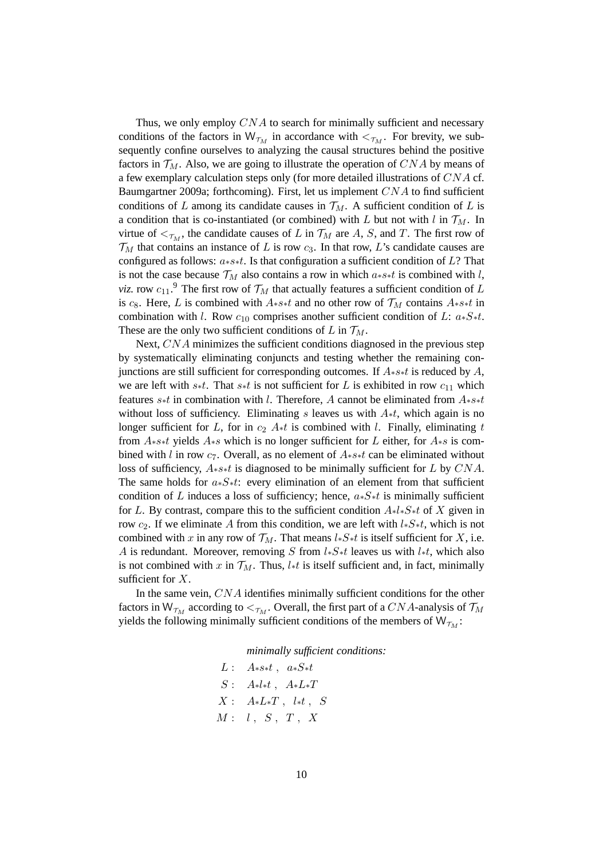Thus, we only employ  $CNA$  to search for minimally sufficient and necessary conditions of the factors in  $W_{\tau_M}$  in accordance with  $\langle \tau_M$ . For brevity, we subsequently confine ourselves to analyzing the causal structures behind the positive factors in  $\mathcal{T}_M$ . Also, we are going to illustrate the operation of CNA by means of a few exemplary calculation steps only (for more detailed illustrations of CNA cf. Baumgartner 2009a; forthcoming). First, let us implement CNA to find sufficient conditions of L among its candidate causes in  $\mathcal{T}_M$ . A sufficient condition of L is a condition that is co-instantiated (or combined) with L but not with l in  $\mathcal{T}_M$ . In virtue of  $\lt_{\mathcal{T}_M}$ , the candidate causes of L in  $\mathcal{T}_M$  are A, S, and T. The first row of  $\mathcal{T}_M$  that contains an instance of L is row  $c_3$ . In that row, L's candidate causes are configured as follows: a∗s∗t. Is that configuration a sufficient condition of L? That is not the case because  $\mathcal{T}_M$  also contains a row in which  $a***t$  is combined with l, *viz.* row  $c_{11}$ .<sup>9</sup> The first row of  $\mathcal{T}_M$  that actually features a sufficient condition of L is c<sub>8</sub>. Here, L is combined with  $A<sub>*s</sub>*t$  and no other row of  $\mathcal{T}_M$  contains  $A<sub>*s</sub>*t$  in combination with l. Row  $c_{10}$  comprises another sufficient condition of L:  $a*S*t$ . These are the only two sufficient conditions of L in  $\mathcal{T}_M$ .

Next, CNA minimizes the sufficient conditions diagnosed in the previous step by systematically eliminating conjuncts and testing whether the remaining conjunctions are still sufficient for corresponding outcomes. If  $A$ <sub>\*</sub>s<sub>\*</sub>t is reduced by A, we are left with s∗t. That s∗t is not sufficient for L is exhibited in row  $c_{11}$  which features s∗t in combination with l. Therefore, A cannot be eliminated from A∗s∗t without loss of sufficiency. Eliminating s leaves us with  $A*t$ , which again is no longer sufficient for L, for in  $c_2$  A∗t is combined with l. Finally, eliminating t from A∗s∗t yields A∗s which is no longer sufficient for L either, for A∗s is combined with l in row  $c_7$ . Overall, as no element of  $A**t$  can be eliminated without loss of sufficiency,  $A$ <sub>\*</sub>s∗t is diagnosed to be minimally sufficient for L by CNA. The same holds for  $a*S*t$ : every elimination of an element from that sufficient condition of L induces a loss of sufficiency; hence,  $a*S*t$  is minimally sufficient for L. By contrast, compare this to the sufficient condition  $A * l * S * t$  of X given in row  $c_2$ . If we eliminate A from this condition, we are left with  $l_*S_*t$ , which is not combined with x in any row of  $\mathcal{T}_M$ . That means l∗S∗t is itself sufficient for X, i.e. A is redundant. Moreover, removing S from  $l*S*t$  leaves us with  $l*t$ , which also is not combined with x in  $\mathcal{T}_M$ . Thus, l<sub>\*</sub>t is itself sufficient and, in fact, minimally sufficient for X.

In the same vein, CNA identifies minimally sufficient conditions for the other factors in  $W_{\mathcal{T}_M}$  according to  $\lt_{\mathcal{T}_M}$ . Overall, the first part of a CNA-analysis of  $\mathcal{T}_M$ yields the following minimally sufficient conditions of the members of  $W_{\tau_M}$ :

*minimally sufficient conditions:*

L :  $A**st$  ,  $a*S*t$  $S$ :  $A*l*t$ ,  $A*L*T$  $X: A * L * T$ ,  $l * t$ ,  $S$  $M: \quad l \ , \quad S \ , \quad T \ , \quad X$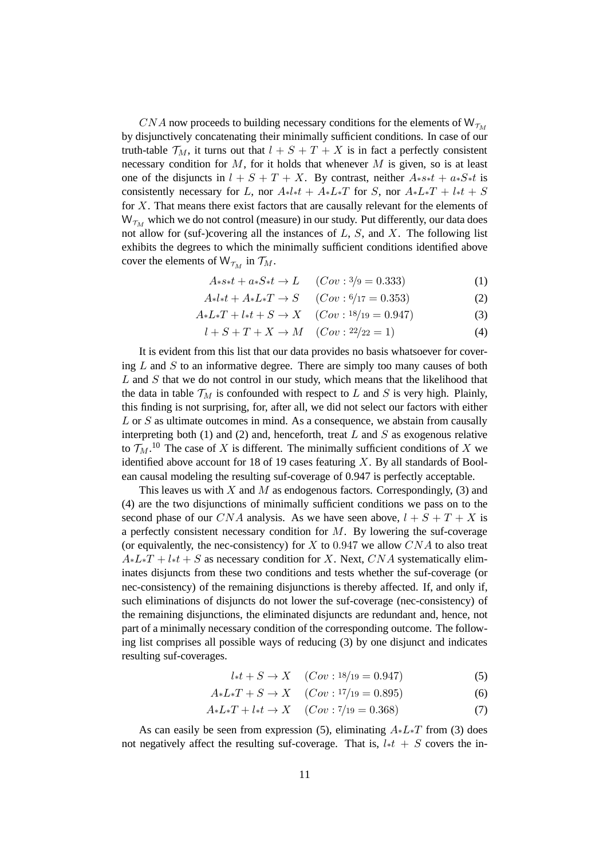CNA now proceeds to building necessary conditions for the elements of  $W_{\tau_M}$ by disjunctively concatenating their minimally sufficient conditions. In case of our truth-table  $\mathcal{T}_M$ , it turns out that  $l + S + T + X$  is in fact a perfectly consistent necessary condition for  $M$ , for it holds that whenever  $M$  is given, so is at least one of the disjuncts in  $l + S + T + X$ . By contrast, neither  $A_{*}s_{*}t + a_{*}S_{*}t$  is consistently necessary for L, nor  $A*l*t + A*L*T$  for S, nor  $A*L*T + l*t + S$ for X. That means there exist factors that are causally relevant for the elements of  $W_{\tau_M}$  which we do not control (measure) in our study. Put differently, our data does not allow for (suf-)covering all the instances of  $L$ ,  $S$ , and  $X$ . The following list exhibits the degrees to which the minimally sufficient conditions identified above cover the elements of  $W_{\mathcal{T}_M}$  in  $\mathcal{T}_M$ .

$$
A**s*t + a*S*t \to L \t(Cov: 3/9 = 0.333)
$$
 (1)

$$
A * l * t + A * L * T \to S \t(Cov : 6/17 = 0.353)
$$
 (2)

$$
A * L * T + l * t + S \to X \quad (Cov : 18/19 = 0.947)
$$
 (3)

$$
l + S + T + X \to M \quad (Cov : 22/22 = 1)
$$
 (4)

It is evident from this list that our data provides no basis whatsoever for covering  $L$  and  $S$  to an informative degree. There are simply too many causes of both  $L$  and  $S$  that we do not control in our study, which means that the likelihood that the data in table  $\mathcal{T}_M$  is confounded with respect to L and S is very high. Plainly, this finding is not surprising, for, after all, we did not select our factors with either L or S as ultimate outcomes in mind. As a consequence, we abstain from causally interpreting both (1) and (2) and, henceforth, treat  $L$  and  $S$  as exogenous relative to  $\mathcal{T}_M$ .<sup>10</sup> The case of X is different. The minimally sufficient conditions of X we identified above account for 18 of 19 cases featuring  $X$ . By all standards of Boolean causal modeling the resulting suf-coverage of 0.947 is perfectly acceptable.

This leaves us with X and M as endogenous factors. Correspondingly, (3) and (4) are the two disjunctions of minimally sufficient conditions we pass on to the second phase of our CNA analysis. As we have seen above,  $l + S + T + X$  is a perfectly consistent necessary condition for  $M$ . By lowering the suf-coverage (or equivalently, the nec-consistency) for  $X$  to 0.947 we allow  $CNA$  to also treat  $A * L * T + l * t + S$  as necessary condition for X. Next, CNA systematically eliminates disjuncts from these two conditions and tests whether the suf-coverage (or nec-consistency) of the remaining disjunctions is thereby affected. If, and only if, such eliminations of disjuncts do not lower the suf-coverage (nec-consistency) of the remaining disjunctions, the eliminated disjuncts are redundant and, hence, not part of a minimally necessary condition of the corresponding outcome. The following list comprises all possible ways of reducing (3) by one disjunct and indicates resulting suf-coverages.

$$
l * t + S \to X \quad (Cov : 18/19 = 0.947) \tag{5}
$$

$$
A * L * T + S \to X \quad (Cov : 17/19 = 0.895)
$$
 (6)

$$
A * L * T + l * t \to X \quad (Cov : 7/19 = 0.368)
$$
 (7)

As can easily be seen from expression (5), eliminating  $A * L * T$  from (3) does not negatively affect the resulting suf-coverage. That is,  $l * t + S$  covers the in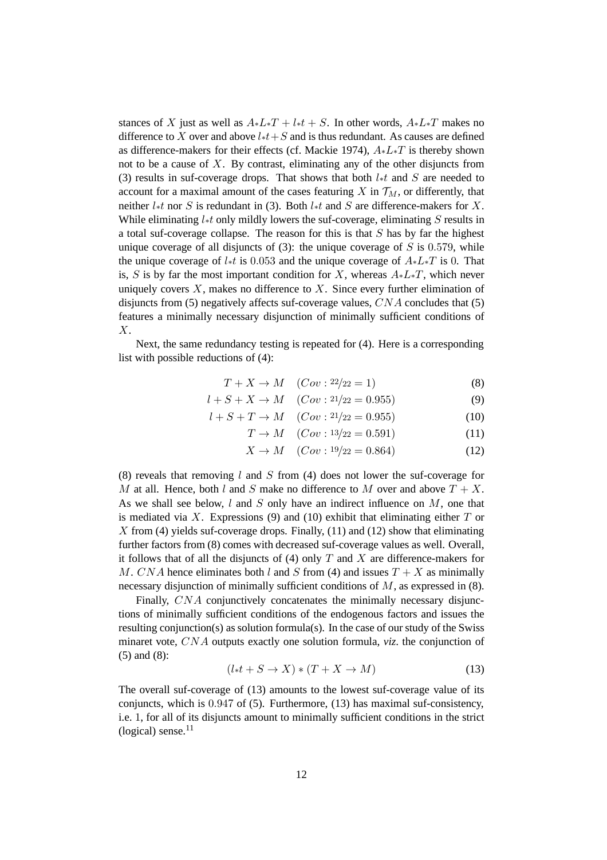stances of X just as well as  $A * L * T + l * t + S$ . In other words,  $A * L * T$  makes no difference to X over and above  $l * t + S$  and is thus redundant. As causes are defined as difference-makers for their effects (cf. Mackie 1974),  $A * L * T$  is thereby shown not to be a cause of  $X$ . By contrast, eliminating any of the other disjuncts from (3) results in suf-coverage drops. That shows that both  $l * t$  and S are needed to account for a maximal amount of the cases featuring X in  $\mathcal{T}_M$ , or differently, that neither l∗t nor S is redundant in (3). Both l∗t and S are difference-makers for X. While eliminating  $l$ <sup>\*</sup>t only mildly lowers the suf-coverage, eliminating S results in a total suf-coverage collapse. The reason for this is that  $S$  has by far the highest unique coverage of all disjuncts of  $(3)$ : the unique coverage of S is 0.579, while the unique coverage of  $l * t$  is 0.053 and the unique coverage of  $A * L * T$  is 0. That is, S is by far the most important condition for X, whereas  $A * L * T$ , which never uniquely covers  $X$ , makes no difference to  $X$ . Since every further elimination of disjuncts from (5) negatively affects suf-coverage values,  $CNA$  concludes that (5) features a minimally necessary disjunction of minimally sufficient conditions of X.

Next, the same redundancy testing is repeated for (4). Here is a corresponding list with possible reductions of (4):

$$
T + X \to M \quad (Cov : 22/22 = 1)
$$
 (8)

$$
l + S + X \to M \quad (Cov : 21/22 = 0.955)
$$
 (9)

$$
l + S + T \to M \quad (Cov : 21/22 = 0.955)
$$
 (10)

$$
T \to M \quad (Cov : 13/22 = 0.591) \tag{11}
$$

$$
X \to M \quad (Cov: 19/22 = 0.864)
$$
 (12)

(8) reveals that removing l and S from (4) does not lower the suf-coverage for M at all. Hence, both l and S make no difference to M over and above  $T + X$ . As we shall see below,  $l$  and  $S$  only have an indirect influence on  $M$ , one that is mediated via X. Expressions (9) and (10) exhibit that eliminating either  $T$  or  $X$  from (4) yields suf-coverage drops. Finally, (11) and (12) show that eliminating further factors from (8) comes with decreased suf-coverage values as well. Overall, it follows that of all the disjuncts of  $(4)$  only T and X are difference-makers for M. CNA hence eliminates both l and S from (4) and issues  $T + X$  as minimally necessary disjunction of minimally sufficient conditions of M, as expressed in (8).

Finally, CNA conjunctively concatenates the minimally necessary disjunctions of minimally sufficient conditions of the endogenous factors and issues the resulting conjunction(s) as solution formula(s). In the case of our study of the Swiss minaret vote, CNA outputs exactly one solution formula, *viz*. the conjunction of (5) and (8):

$$
(l * t + S \to X) * (T + X \to M)
$$
\n(13)

The overall suf-coverage of (13) amounts to the lowest suf-coverage value of its conjuncts, which is 0.947 of (5). Furthermore, (13) has maximal suf-consistency, i.e. 1, for all of its disjuncts amount to minimally sufficient conditions in the strict (logical) sense. $11$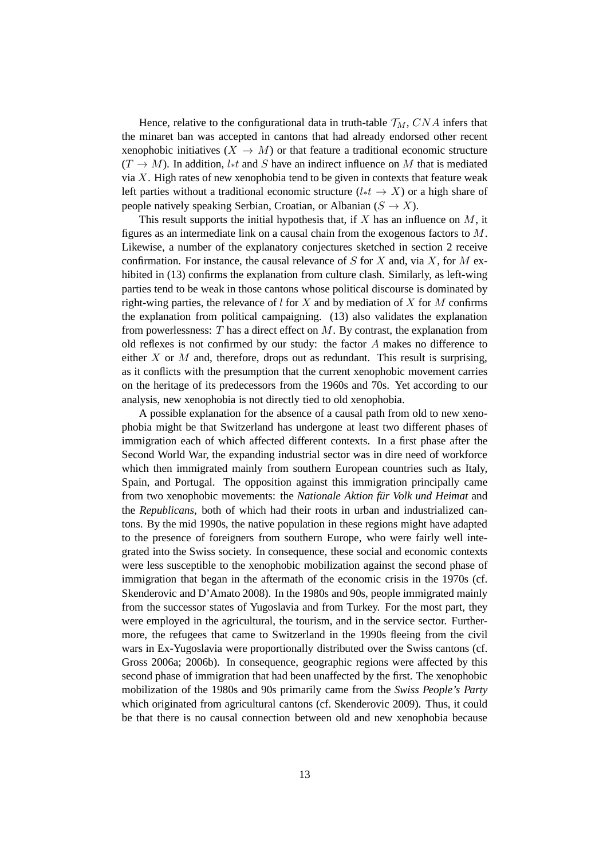Hence, relative to the configurational data in truth-table  $\mathcal{T}_M$ , CNA infers that the minaret ban was accepted in cantons that had already endorsed other recent xenophobic initiatives  $(X \to M)$  or that feature a traditional economic structure  $(T \to M)$ . In addition, l<sup>\*t</sup> and S have an indirect influence on M that is mediated via  $X$ . High rates of new xenophobia tend to be given in contexts that feature weak left parties without a traditional economic structure ( $l * t \to X$ ) or a high share of people natively speaking Serbian, Croatian, or Albanian  $(S \to X)$ .

This result supports the initial hypothesis that, if  $X$  has an influence on  $M$ , it figures as an intermediate link on a causal chain from the exogenous factors to M. Likewise, a number of the explanatory conjectures sketched in section 2 receive confirmation. For instance, the causal relevance of  $S$  for  $X$  and, via  $X$ , for  $M$  exhibited in (13) confirms the explanation from culture clash. Similarly, as left-wing parties tend to be weak in those cantons whose political discourse is dominated by right-wing parties, the relevance of  $l$  for  $X$  and by mediation of  $X$  for  $M$  confirms the explanation from political campaigning. (13) also validates the explanation from powerlessness:  $T$  has a direct effect on  $M$ . By contrast, the explanation from old reflexes is not confirmed by our study: the factor  $A$  makes no difference to either X or M and, therefore, drops out as redundant. This result is surprising, as it conflicts with the presumption that the current xenophobic movement carries on the heritage of its predecessors from the 1960s and 70s. Yet according to our analysis, new xenophobia is not directly tied to old xenophobia.

A possible explanation for the absence of a causal path from old to new xenophobia might be that Switzerland has undergone at least two different phases of immigration each of which affected different contexts. In a first phase after the Second World War, the expanding industrial sector was in dire need of workforce which then immigrated mainly from southern European countries such as Italy, Spain, and Portugal. The opposition against this immigration principally came from two xenophobic movements: the *Nationale Aktion für Volk und Heimat* and the *Republicans*, both of which had their roots in urban and industrialized cantons. By the mid 1990s, the native population in these regions might have adapted to the presence of foreigners from southern Europe, who were fairly well integrated into the Swiss society. In consequence, these social and economic contexts were less susceptible to the xenophobic mobilization against the second phase of immigration that began in the aftermath of the economic crisis in the 1970s (cf. Skenderovic and D'Amato 2008). In the 1980s and 90s, people immigrated mainly from the successor states of Yugoslavia and from Turkey. For the most part, they were employed in the agricultural, the tourism, and in the service sector. Furthermore, the refugees that came to Switzerland in the 1990s fleeing from the civil wars in Ex-Yugoslavia were proportionally distributed over the Swiss cantons (cf. Gross 2006a; 2006b). In consequence, geographic regions were affected by this second phase of immigration that had been unaffected by the first. The xenophobic mobilization of the 1980s and 90s primarily came from the *Swiss People's Party* which originated from agricultural cantons (cf. Skenderovic 2009). Thus, it could be that there is no causal connection between old and new xenophobia because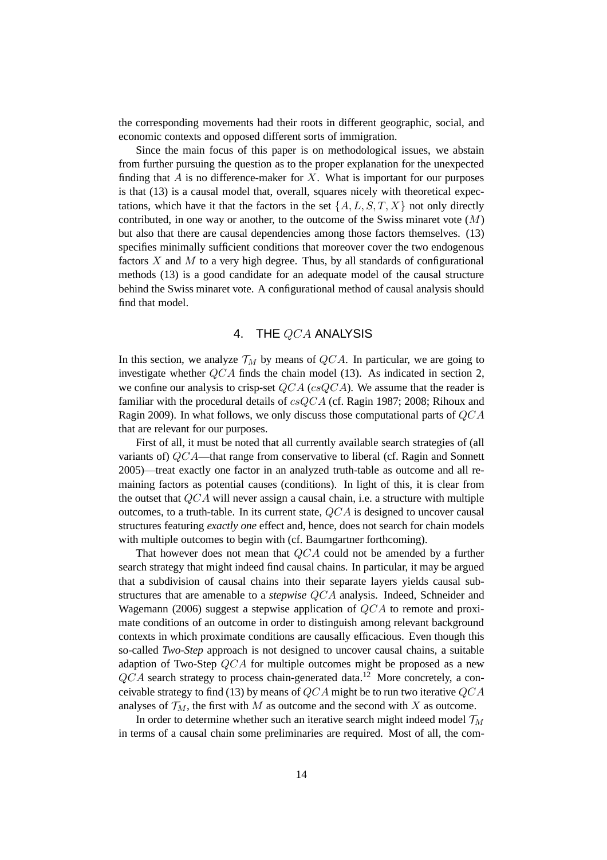the corresponding movements had their roots in different geographic, social, and economic contexts and opposed different sorts of immigration.

Since the main focus of this paper is on methodological issues, we abstain from further pursuing the question as to the proper explanation for the unexpected finding that  $A$  is no difference-maker for  $X$ . What is important for our purposes is that (13) is a causal model that, overall, squares nicely with theoretical expectations, which have it that the factors in the set  $\{A, L, S, T, X\}$  not only directly contributed, in one way or another, to the outcome of the Swiss minaret vote  $(M)$ but also that there are causal dependencies among those factors themselves. (13) specifies minimally sufficient conditions that moreover cover the two endogenous factors  $X$  and  $M$  to a very high degree. Thus, by all standards of configurational methods (13) is a good candidate for an adequate model of the causal structure behind the Swiss minaret vote. A configurational method of causal analysis should find that model.

## 4. THE QCA ANALYSIS

In this section, we analyze  $\mathcal{T}_M$  by means of  $QCA$ . In particular, we are going to investigate whether QCA finds the chain model (13). As indicated in section 2, we confine our analysis to crisp-set  $QCA$  (cs $QCA$ ). We assume that the reader is familiar with the procedural details of csQCA (cf. Ragin 1987; 2008; Rihoux and Ragin 2009). In what follows, we only discuss those computational parts of QCA that are relevant for our purposes.

First of all, it must be noted that all currently available search strategies of (all variants of) QCA—that range from conservative to liberal (cf. Ragin and Sonnett 2005)—treat exactly one factor in an analyzed truth-table as outcome and all remaining factors as potential causes (conditions). In light of this, it is clear from the outset that  $QCA$  will never assign a causal chain, i.e. a structure with multiple outcomes, to a truth-table. In its current state, QCA is designed to uncover causal structures featuring *exactly one* effect and, hence, does not search for chain models with multiple outcomes to begin with (cf. Baumgartner forthcoming).

That however does not mean that QCA could not be amended by a further search strategy that might indeed find causal chains. In particular, it may be argued that a subdivision of causal chains into their separate layers yields causal substructures that are amenable to a *stepwise* QCA analysis. Indeed, Schneider and Wagemann (2006) suggest a stepwise application of QCA to remote and proximate conditions of an outcome in order to distinguish among relevant background contexts in which proximate conditions are causally efficacious. Even though this so-called *Two-Step* approach is not designed to uncover causal chains, a suitable adaption of Two-Step QCA for multiple outcomes might be proposed as a new  $QCA$  search strategy to process chain-generated data.<sup>12</sup> More concretely, a conceivable strategy to find (13) by means of  $QCA$  might be to run two iterative  $QCA$ analyses of  $\mathcal{T}_M$ , the first with M as outcome and the second with X as outcome.

In order to determine whether such an iterative search might indeed model  $\mathcal{T}_M$ in terms of a causal chain some preliminaries are required. Most of all, the com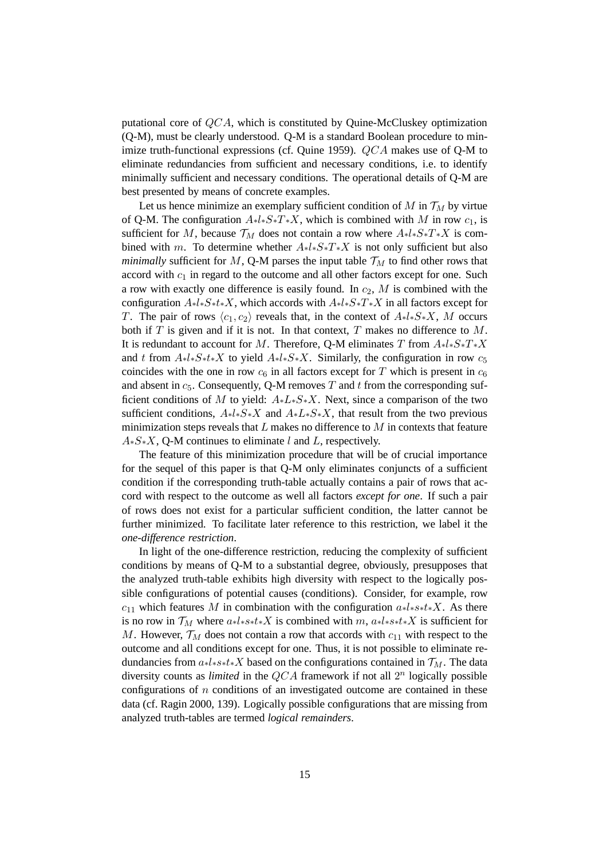putational core of  $QCA$ , which is constituted by Quine-McCluskey optimization (Q-M), must be clearly understood. Q-M is a standard Boolean procedure to minimize truth-functional expressions (cf. Quine 1959). QCA makes use of Q-M to eliminate redundancies from sufficient and necessary conditions, i.e. to identify minimally sufficient and necessary conditions. The operational details of Q-M are best presented by means of concrete examples.

Let us hence minimize an exemplary sufficient condition of  $M$  in  $\mathcal{T}_M$  by virtue of Q-M. The configuration  $A * l * S * T * X$ , which is combined with M in row  $c_1$ , is sufficient for M, because  $\mathcal{T}_M$  does not contain a row where  $A * l * S * T * X$  is combined with m. To determine whether  $A * l * S * T * X$  is not only sufficient but also *minimally* sufficient for M, Q-M parses the input table  $\mathcal{T}_M$  to find other rows that accord with  $c_1$  in regard to the outcome and all other factors except for one. Such a row with exactly one difference is easily found. In  $c_2$ , M is combined with the configuration  $A * l * S * t * X$ , which accords with  $A * l * S * T * X$  in all factors except for T. The pair of rows  $\langle c_1, c_2 \rangle$  reveals that, in the context of  $A * l * S * X$ , M occurs both if  $T$  is given and if it is not. In that context,  $T$  makes no difference to  $M$ . It is redundant to account for M. Therefore, Q-M eliminates T from  $A*l*S*T*X$ and t from  $A_{*}l_{*}S_{*}t_{*}X$  to yield  $A_{*}l_{*}S_{*}X$ . Similarly, the configuration in row  $c_{5}$ coincides with the one in row  $c_6$  in all factors except for T which is present in  $c_6$ and absent in  $c_5$ . Consequently, Q-M removes T and t from the corresponding sufficient conditions of M to yield:  $A * L * S * X$ . Next, since a comparison of the two sufficient conditions,  $A * l * S * X$  and  $A * L * S * X$ , that result from the two previous minimization steps reveals that  $L$  makes no difference to  $M$  in contexts that feature  $A*S*X$ , Q-M continues to eliminate l and L, respectively.

The feature of this minimization procedure that will be of crucial importance for the sequel of this paper is that Q-M only eliminates conjuncts of a sufficient condition if the corresponding truth-table actually contains a pair of rows that accord with respect to the outcome as well all factors *except for one*. If such a pair of rows does not exist for a particular sufficient condition, the latter cannot be further minimized. To facilitate later reference to this restriction, we label it the *one-difference restriction*.

In light of the one-difference restriction, reducing the complexity of sufficient conditions by means of Q-M to a substantial degree, obviously, presupposes that the analyzed truth-table exhibits high diversity with respect to the logically possible configurations of potential causes (conditions). Consider, for example, row  $c_{11}$  which features M in combination with the configuration  $a * l * s * t * X$ . As there is no row in  $\mathcal{T}_M$  where  $a * l * s * t * X$  is combined with m,  $a * l * s * t * X$  is sufficient for M. However,  $\mathcal{T}_M$  does not contain a row that accords with  $c_{11}$  with respect to the outcome and all conditions except for one. Thus, it is not possible to eliminate redundancies from  $a * l * s * t * X$  based on the configurations contained in  $\mathcal{T}_M$ . The data diversity counts as *limited* in the  $QCA$  framework if not all  $2<sup>n</sup>$  logically possible configurations of  $n$  conditions of an investigated outcome are contained in these data (cf. Ragin 2000, 139). Logically possible configurations that are missing from analyzed truth-tables are termed *logical remainders*.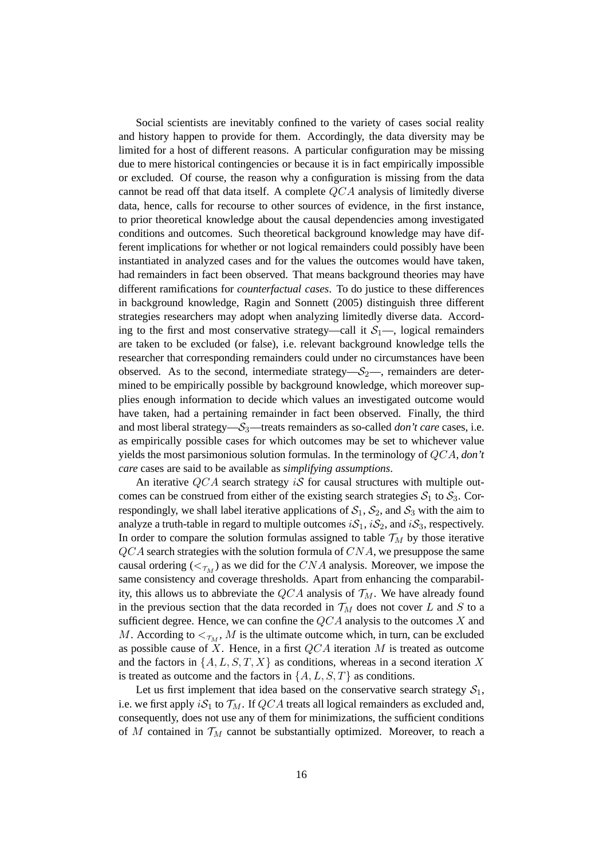Social scientists are inevitably confined to the variety of cases social reality and history happen to provide for them. Accordingly, the data diversity may be limited for a host of different reasons. A particular configuration may be missing due to mere historical contingencies or because it is in fact empirically impossible or excluded. Of course, the reason why a configuration is missing from the data cannot be read off that data itself. A complete  $QCA$  analysis of limitedly diverse data, hence, calls for recourse to other sources of evidence, in the first instance, to prior theoretical knowledge about the causal dependencies among investigated conditions and outcomes. Such theoretical background knowledge may have different implications for whether or not logical remainders could possibly have been instantiated in analyzed cases and for the values the outcomes would have taken, had remainders in fact been observed. That means background theories may have different ramifications for *counterfactual cases*. To do justice to these differences in background knowledge, Ragin and Sonnett (2005) distinguish three different strategies researchers may adopt when analyzing limitedly diverse data. According to the first and most conservative strategy—call it  $S_1$ —, logical remainders are taken to be excluded (or false), i.e. relevant background knowledge tells the researcher that corresponding remainders could under no circumstances have been observed. As to the second, intermediate strategy— $S_2$ —, remainders are determined to be empirically possible by background knowledge, which moreover supplies enough information to decide which values an investigated outcome would have taken, had a pertaining remainder in fact been observed. Finally, the third and most liberal strategy—S3—treats remainders as so-called *don't care* cases, i.e. as empirically possible cases for which outcomes may be set to whichever value yields the most parsimonious solution formulas. In the terminology of QCA, *don't care* cases are said to be available as *simplifying assumptions*.

An iterative  $QCA$  search strategy iS for causal structures with multiple outcomes can be construed from either of the existing search strategies  $S_1$  to  $S_3$ . Correspondingly, we shall label iterative applications of  $S_1$ ,  $S_2$ , and  $S_3$  with the aim to analyze a truth-table in regard to multiple outcomes  $iS_1$ ,  $iS_2$ , and  $iS_3$ , respectively. In order to compare the solution formulas assigned to table  $\mathcal{T}_M$  by those iterative  $QCA$  search strategies with the solution formula of  $CNA$ , we presuppose the same causal ordering ( $\lt_{\mathcal{T}_M}$ ) as we did for the CNA analysis. Moreover, we impose the same consistency and coverage thresholds. Apart from enhancing the comparability, this allows us to abbreviate the  $QCA$  analysis of  $\mathcal{T}_M$ . We have already found in the previous section that the data recorded in  $\mathcal{T}_M$  does not cover L and S to a sufficient degree. Hence, we can confine the  $QCA$  analysis to the outcomes X and M. According to  $\lt_{\tau_M}$ , M is the ultimate outcome which, in turn, can be excluded as possible cause of  $X$ . Hence, in a first  $QCA$  iteration  $M$  is treated as outcome and the factors in  $\{A, L, S, T, X\}$  as conditions, whereas in a second iteration X is treated as outcome and the factors in  $\{A, L, S, T\}$  as conditions.

Let us first implement that idea based on the conservative search strategy  $S_1$ , i.e. we first apply  $iS_1$  to  $\mathcal{T}_M$ . If  $QCA$  treats all logical remainders as excluded and, consequently, does not use any of them for minimizations, the sufficient conditions of M contained in  $\mathcal{T}_M$  cannot be substantially optimized. Moreover, to reach a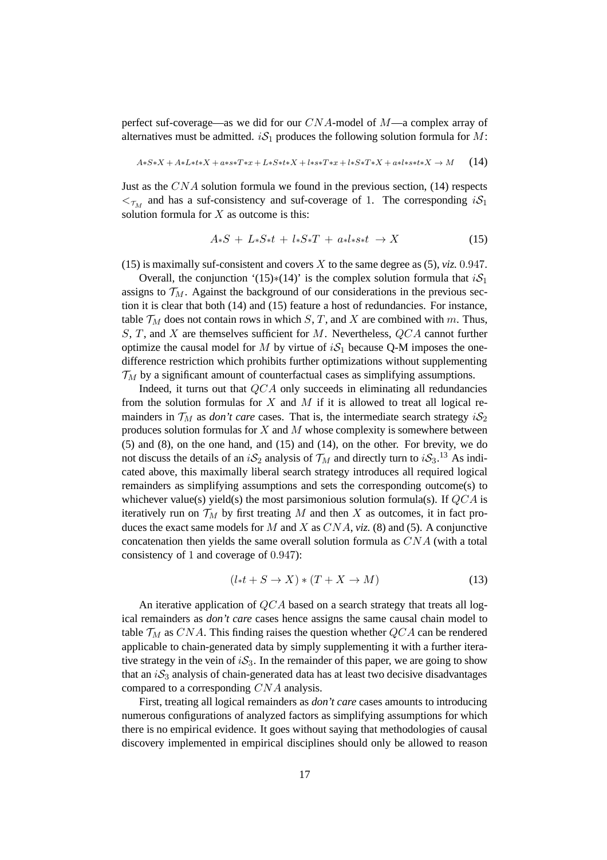perfect suf-coverage—as we did for our  $CNA$ -model of  $M$ —a complex array of alternatives must be admitted.  $iS_1$  produces the following solution formula for M:

$$
A*S*X + A*L***X + a*s*T*x + L*S***X + l*s*T*x + l*S*T*X + a*l*s*t*X \rightarrow M \qquad (14)
$$

Just as the  $CNA$  solution formula we found in the previous section, (14) respects  $\epsilon_{\tau_M}$  and has a suf-consistency and suf-coverage of 1. The corresponding  $iS_1$ solution formula for  $X$  as outcome is this:

$$
A*S + L*S*t + l*S*T + a*l*s*t \rightarrow X \tag{15}
$$

(15) is maximally suf-consistent and covers  $X$  to the same degree as (5), *viz.* 0.947.

Overall, the conjunction '(15)∗(14)' is the complex solution formula that  $iS_1$ assigns to  $\mathcal{T}_M$ . Against the background of our considerations in the previous section it is clear that both (14) and (15) feature a host of redundancies. For instance, table  $\mathcal{T}_M$  does not contain rows in which S, T, and X are combined with m. Thus,  $S, T$ , and  $X$  are themselves sufficient for  $M$ . Nevertheless,  $QCA$  cannot further optimize the causal model for M by virtue of  $iS_1$  because Q-M imposes the onedifference restriction which prohibits further optimizations without supplementing  $\mathcal{T}_M$  by a significant amount of counterfactual cases as simplifying assumptions.

Indeed, it turns out that  $QCA$  only succeeds in eliminating all redundancies from the solution formulas for  $X$  and  $M$  if it is allowed to treat all logical remainders in  $\mathcal{T}_M$  as *don't care* cases. That is, the intermediate search strategy  $i\mathcal{S}_2$ produces solution formulas for  $X$  and  $M$  whose complexity is somewhere between (5) and (8), on the one hand, and (15) and (14), on the other. For brevity, we do not discuss the details of an  $iS_2$  analysis of  $\mathcal{T}_M$  and directly turn to  $iS_3$ .<sup>13</sup> As indicated above, this maximally liberal search strategy introduces all required logical remainders as simplifying assumptions and sets the corresponding outcome(s) to whichever value(s) yield(s) the most parsimonious solution formula(s). If  $QCA$  is iteratively run on  $\mathcal{T}_M$  by first treating M and then X as outcomes, it in fact produces the exact same models for M and X as  $CNA$ , *viz.* (8) and (5). A conjunctive concatenation then yields the same overall solution formula as  $CNA$  (with a total consistency of 1 and coverage of 0.947):

$$
(l * t + S \to X) * (T + X \to M)
$$
\n(13)

An iterative application of QCA based on a search strategy that treats all logical remainders as *don't care* cases hence assigns the same causal chain model to table  $T_M$  as CNA. This finding raises the question whether  $QCA$  can be rendered applicable to chain-generated data by simply supplementing it with a further iterative strategy in the vein of  $iS_3$ . In the remainder of this paper, we are going to show that an  $iS_3$  analysis of chain-generated data has at least two decisive disadvantages compared to a corresponding CNA analysis.

First, treating all logical remainders as *don't care* cases amounts to introducing numerous configurations of analyzed factors as simplifying assumptions for which there is no empirical evidence. It goes without saying that methodologies of causal discovery implemented in empirical disciplines should only be allowed to reason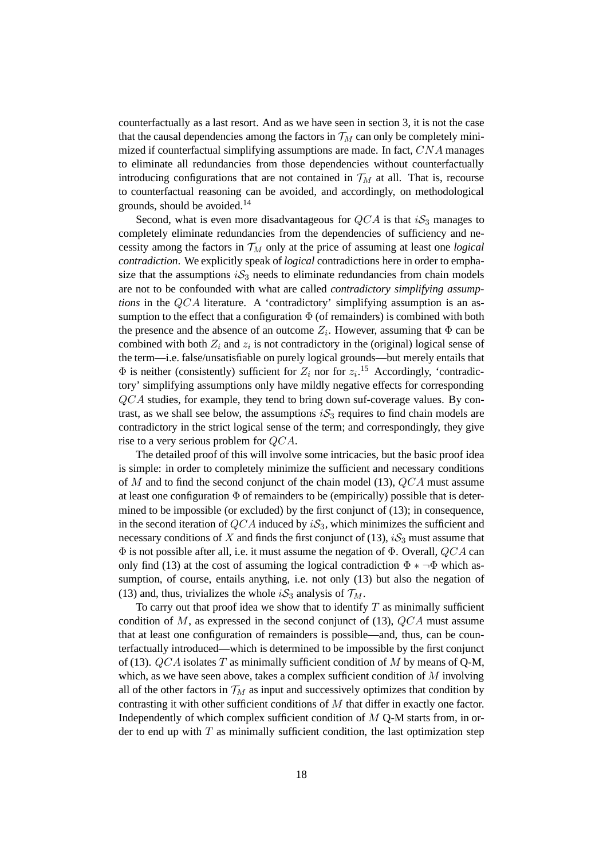counterfactually as a last resort. And as we have seen in section 3, it is not the case that the causal dependencies among the factors in  $\mathcal{T}_M$  can only be completely minimized if counterfactual simplifying assumptions are made. In fact, CNA manages to eliminate all redundancies from those dependencies without counterfactually introducing configurations that are not contained in  $\mathcal{T}_M$  at all. That is, recourse to counterfactual reasoning can be avoided, and accordingly, on methodological grounds, should be avoided.<sup>14</sup>

Second, what is even more disadvantageous for  $QCA$  is that  $iS_3$  manages to completely eliminate redundancies from the dependencies of sufficiency and necessity among the factors in  $\mathcal{T}_M$  only at the price of assuming at least one *logical contradiction*. We explicitly speak of *logical* contradictions here in order to emphasize that the assumptions  $iS_3$  needs to eliminate redundancies from chain models are not to be confounded with what are called *contradictory simplifying assumptions* in the QCA literature. A 'contradictory' simplifying assumption is an assumption to the effect that a configuration  $\Phi$  (of remainders) is combined with both the presence and the absence of an outcome  $Z_i$ . However, assuming that  $\Phi$  can be combined with both  $Z_i$  and  $z_i$  is not contradictory in the (original) logical sense of the term—i.e. false/unsatisfiable on purely logical grounds—but merely entails that  $\Phi$  is neither (consistently) sufficient for  $Z_i$  nor for  $z_i$ .<sup>15</sup> Accordingly, 'contradictory' simplifying assumptions only have mildly negative effects for corresponding QCA studies, for example, they tend to bring down suf-coverage values. By contrast, as we shall see below, the assumptions  $iS_3$  requires to find chain models are contradictory in the strict logical sense of the term; and correspondingly, they give rise to a very serious problem for QCA.

The detailed proof of this will involve some intricacies, but the basic proof idea is simple: in order to completely minimize the sufficient and necessary conditions of M and to find the second conjunct of the chain model (13),  $QCA$  must assume at least one configuration  $\Phi$  of remainders to be (empirically) possible that is determined to be impossible (or excluded) by the first conjunct of (13); in consequence, in the second iteration of  $QCA$  induced by  $iS_3$ , which minimizes the sufficient and necessary conditions of X and finds the first conjunct of (13),  $iS_3$  must assume that  $\Phi$  is not possible after all, i.e. it must assume the negation of  $\Phi$ . Overall,  $QCA$  can only find (13) at the cost of assuming the logical contradiction  $\Phi * \neg \Phi$  which assumption, of course, entails anything, i.e. not only (13) but also the negation of (13) and, thus, trivializes the whole  $iS_3$  analysis of  $\mathcal{T}_M$ .

To carry out that proof idea we show that to identify  $T$  as minimally sufficient condition of M, as expressed in the second conjunct of  $(13)$ , QCA must assume that at least one configuration of remainders is possible—and, thus, can be counterfactually introduced—which is determined to be impossible by the first conjunct of (13).  $QCA$  isolates T as minimally sufficient condition of M by means of Q-M, which, as we have seen above, takes a complex sufficient condition of M involving all of the other factors in  $\mathcal{T}_M$  as input and successively optimizes that condition by contrasting it with other sufficient conditions of M that differ in exactly one factor. Independently of which complex sufficient condition of  $M$  Q-M starts from, in order to end up with  $T$  as minimally sufficient condition, the last optimization step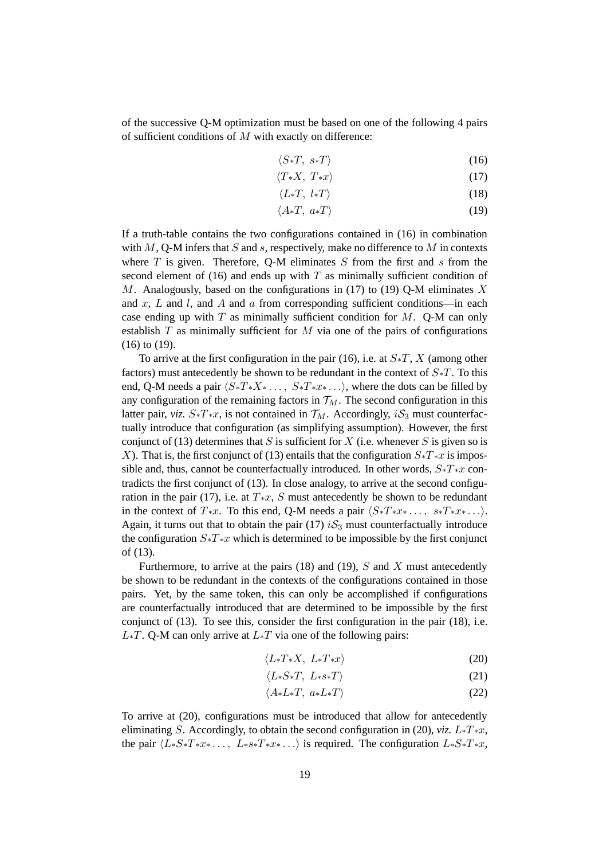of the successive Q-M optimization must be based on one of the following 4 pairs of sufficient conditions of  $M$  with exactly on difference:

$$
\langle S*T, s*T \rangle \tag{16}
$$

$$
\langle T \ast X, \ T \ast x \rangle \tag{17}
$$

$$
\langle L*T, l*T\rangle \tag{18}
$$

$$
\langle A \ast T, \ a \ast T \rangle \tag{19}
$$

If a truth-table contains the two configurations contained in (16) in combination with  $M$ , Q-M infers that S and s, respectively, make no difference to M in contexts where  $T$  is given. Therefore, Q-M eliminates  $S$  from the first and  $s$  from the second element of  $(16)$  and ends up with T as minimally sufficient condition of M. Analogously, based on the configurations in (17) to (19) O-M eliminates X and x, L and l, and A and a from corresponding sufficient conditions—in each case ending up with  $T$  as minimally sufficient condition for  $M$ . Q-M can only establish  $T$  as minimally sufficient for  $M$  via one of the pairs of configurations (16) to (19).

To arrive at the first configuration in the pair (16), i.e. at  $S*T$ , X (among other factors) must antecedently be shown to be redundant in the context of  $S<sub>*T</sub>$ . To this end, Q-M needs a pair  $\langle S_*T_*X_* \ldots, S_*T_*x_* \ldots \rangle$ , where the dots can be filled by any configuration of the remaining factors in  $\mathcal{T}_M$ . The second configuration in this latter pair, *viz.*  $S*T*x$ , is not contained in  $\mathcal{T}_M$ . Accordingly,  $i\mathcal{S}_3$  must counterfactually introduce that configuration (as simplifying assumption). However, the first conjunct of (13) determines that S is sufficient for X (i.e. whenever S is given so is X). That is, the first conjunct of (13) entails that the configuration  $S*T*x$  is impossible and, thus, cannot be counterfactually introduced. In other words,  $S_*T_*x$  contradicts the first conjunct of (13). In close analogy, to arrive at the second configuration in the pair (17), i.e. at  $T*x$ , S must antecedently be shown to be redundant in the context of  $T*x$ . To this end, Q-M needs a pair  $\langle S*T*x* \ldots, s*T*x* \ldots \rangle$ . Again, it turns out that to obtain the pair (17)  $iS_3$  must counterfactually introduce the configuration  $S<sup>*</sup>T<sup>*</sup>x$  which is determined to be impossible by the first conjunct of (13).

Furthermore, to arrive at the pairs (18) and (19),  $S$  and  $X$  must antecedently be shown to be redundant in the contexts of the configurations contained in those pairs. Yet, by the same token, this can only be accomplished if configurations are counterfactually introduced that are determined to be impossible by the first conjunct of (13). To see this, consider the first configuration in the pair (18), i.e.  $L_{\ast}T$ . Q-M can only arrive at  $L_{\ast}T$  via one of the following pairs:

$$
\langle L*T*X, L*T*x \rangle \tag{20}
$$

$$
\langle L*S*T, L*ss*T \rangle \tag{21}
$$

$$
\langle A * L * T, \ a * L * T \rangle \tag{22}
$$

To arrive at (20), configurations must be introduced that allow for antecedently eliminating S. Accordingly, to obtain the second configuration in (20), *viz.*  $L_*T_*x$ , the pair  $\langle L_*S_*T_*x_* \dots, L_{*}S_*T_*x_* \dots \rangle$  is required. The configuration  $L_*S_*T_*x$ ,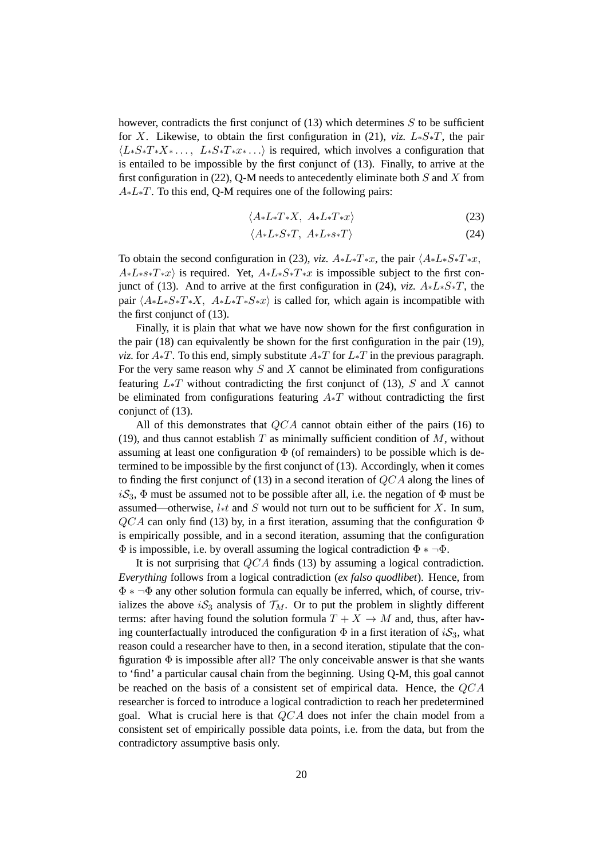however, contradicts the first conjunct of  $(13)$  which determines S to be sufficient for X. Likewise, to obtain the first configuration in (21), *viz.* L∗S∗T, the pair  $\langle L_*S_*T_*X_* \ldots, L_*S_*T_*x_* \ldots \rangle$  is required, which involves a configuration that is entailed to be impossible by the first conjunct of (13). Finally, to arrive at the first configuration in (22), Q-M needs to antecedently eliminate both  $S$  and  $X$  from  $A * L * T$ . To this end, Q-M requires one of the following pairs:

$$
\langle A * L * T * X, A * L * T * x \rangle \tag{23}
$$

$$
\langle A * L * S * T, A * L * s * T \rangle \tag{24}
$$

To obtain the second configuration in (23), *viz.*  $A * L * T * x$ , the pair  $\langle A * L * S * T * x$ ,  $A * L * s * T * x$  is required. Yet,  $A * L * S * T * x$  is impossible subject to the first conjunct of (13). And to arrive at the first configuration in (24), *viz.*  $A * L * S * T$ , the pair  $\langle A * L * S * T * X, A * L * T * S * x \rangle$  is called for, which again is incompatible with the first conjunct of (13).

Finally, it is plain that what we have now shown for the first configuration in the pair (18) can equivalently be shown for the first configuration in the pair (19), *viz.* for  $A$ <sup>\*T</sup>. To this end, simply substitute  $A$ <sup>\*T</sup> for  $L^*T$  in the previous paragraph. For the very same reason why  $S$  and  $X$  cannot be eliminated from configurations featuring  $L_*T$  without contradicting the first conjunct of (13), S and X cannot be eliminated from configurations featuring  $A*T$  without contradicting the first conjunct of (13).

All of this demonstrates that  $QCA$  cannot obtain either of the pairs (16) to (19), and thus cannot establish  $T$  as minimally sufficient condition of  $M$ , without assuming at least one configuration  $\Phi$  (of remainders) to be possible which is determined to be impossible by the first conjunct of (13). Accordingly, when it comes to finding the first conjunct of (13) in a second iteration of QCA along the lines of  $iS_3$ ,  $\Phi$  must be assumed not to be possible after all, i.e. the negation of  $\Phi$  must be assumed—otherwise,  $l * t$  and S would not turn out to be sufficient for X. In sum,  $QCA$  can only find (13) by, in a first iteration, assuming that the configuration  $\Phi$ is empirically possible, and in a second iteration, assuming that the configuration  $\Phi$  is impossible, i.e. by overall assuming the logical contradiction  $\Phi * \neg \Phi$ .

It is not surprising that QCA finds (13) by assuming a logical contradiction. *Everything* follows from a logical contradiction (*ex falso quodlibet*). Hence, from Φ ∗ ¬Φ any other solution formula can equally be inferred, which, of course, trivializes the above  $iS_3$  analysis of  $\mathcal{T}_M$ . Or to put the problem in slightly different terms: after having found the solution formula  $T + X \rightarrow M$  and, thus, after having counterfactually introduced the configuration  $\Phi$  in a first iteration of  $iS_3$ , what reason could a researcher have to then, in a second iteration, stipulate that the configuration  $\Phi$  is impossible after all? The only conceivable answer is that she wants to 'find' a particular causal chain from the beginning. Using Q-M, this goal cannot be reached on the basis of a consistent set of empirical data. Hence, the  $QCA$ researcher is forced to introduce a logical contradiction to reach her predetermined goal. What is crucial here is that QCA does not infer the chain model from a consistent set of empirically possible data points, i.e. from the data, but from the contradictory assumptive basis only.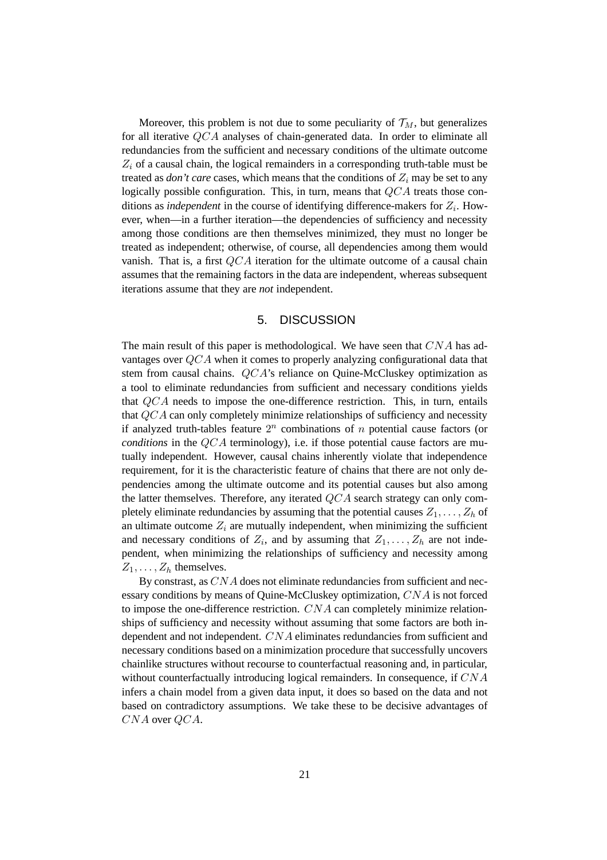Moreover, this problem is not due to some peculiarity of  $\mathcal{T}_M$ , but generalizes for all iterative QCA analyses of chain-generated data. In order to eliminate all redundancies from the sufficient and necessary conditions of the ultimate outcome  $Z_i$  of a causal chain, the logical remainders in a corresponding truth-table must be treated as *don't care* cases, which means that the conditions of  $Z_i$  may be set to any logically possible configuration. This, in turn, means that  $QCA$  treats those conditions as *independent* in the course of identifying difference-makers for  $Z_i$ . However, when—in a further iteration—the dependencies of sufficiency and necessity among those conditions are then themselves minimized, they must no longer be treated as independent; otherwise, of course, all dependencies among them would vanish. That is, a first  $QCA$  iteration for the ultimate outcome of a causal chain assumes that the remaining factors in the data are independent, whereas subsequent iterations assume that they are *not* independent.

#### 5. DISCUSSION

The main result of this paper is methodological. We have seen that  $CNA$  has advantages over QCA when it comes to properly analyzing configurational data that stem from causal chains. QCA's reliance on Quine-McCluskey optimization as a tool to eliminate redundancies from sufficient and necessary conditions yields that QCA needs to impose the one-difference restriction. This, in turn, entails that QCA can only completely minimize relationships of sufficiency and necessity if analyzed truth-tables feature  $2^n$  combinations of n potential cause factors (or *conditions* in the QCA terminology), i.e. if those potential cause factors are mutually independent. However, causal chains inherently violate that independence requirement, for it is the characteristic feature of chains that there are not only dependencies among the ultimate outcome and its potential causes but also among the latter themselves. Therefore, any iterated QCA search strategy can only completely eliminate redundancies by assuming that the potential causes  $Z_1, \ldots, Z_h$  of an ultimate outcome  $Z_i$  are mutually independent, when minimizing the sufficient and necessary conditions of  $Z_i$ , and by assuming that  $Z_1, \ldots, Z_h$  are not independent, when minimizing the relationships of sufficiency and necessity among  $Z_1, \ldots, Z_h$  themselves.

By constrast, as CNA does not eliminate redundancies from sufficient and necessary conditions by means of Quine-McCluskey optimization, CNA is not forced to impose the one-difference restriction.  $CNA$  can completely minimize relationships of sufficiency and necessity without assuming that some factors are both independent and not independent. CNA eliminates redundancies from sufficient and necessary conditions based on a minimization procedure that successfully uncovers chainlike structures without recourse to counterfactual reasoning and, in particular, without counterfactually introducing logical remainders. In consequence, if  $CNA$ infers a chain model from a given data input, it does so based on the data and not based on contradictory assumptions. We take these to be decisive advantages of CNA over QCA.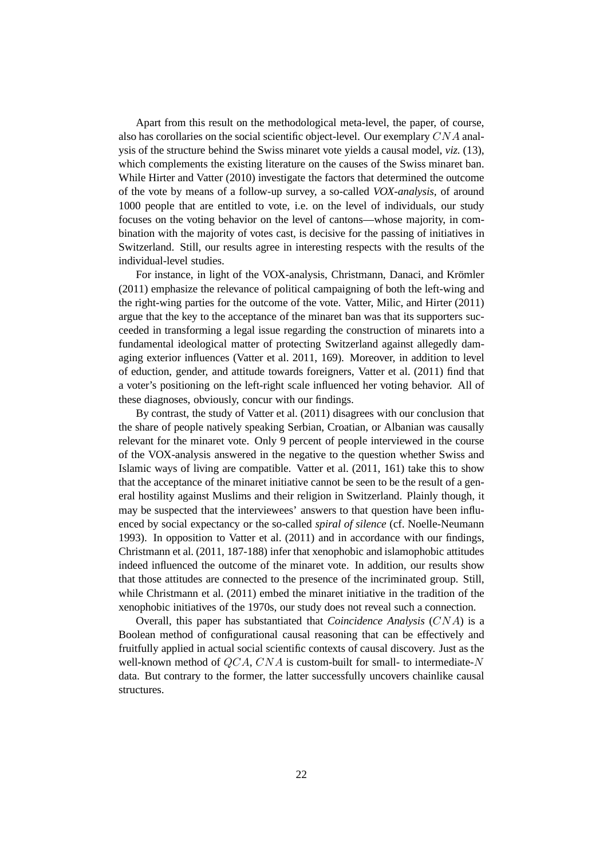Apart from this result on the methodological meta-level, the paper, of course, also has corollaries on the social scientific object-level. Our exemplary  $CNA$  analysis of the structure behind the Swiss minaret vote yields a causal model, *viz.* (13), which complements the existing literature on the causes of the Swiss minaret ban. While Hirter and Vatter (2010) investigate the factors that determined the outcome of the vote by means of a follow-up survey, a so-called *VOX-analysis*, of around 1000 people that are entitled to vote, i.e. on the level of individuals, our study focuses on the voting behavior on the level of cantons—whose majority, in combination with the majority of votes cast, is decisive for the passing of initiatives in Switzerland. Still, our results agree in interesting respects with the results of the individual-level studies.

For instance, in light of the VOX-analysis, Christmann, Danaci, and Krömler (2011) emphasize the relevance of political campaigning of both the left-wing and the right-wing parties for the outcome of the vote. Vatter, Milic, and Hirter (2011) argue that the key to the acceptance of the minaret ban was that its supporters succeeded in transforming a legal issue regarding the construction of minarets into a fundamental ideological matter of protecting Switzerland against allegedly damaging exterior influences (Vatter et al. 2011, 169). Moreover, in addition to level of eduction, gender, and attitude towards foreigners, Vatter et al. (2011) find that a voter's positioning on the left-right scale influenced her voting behavior. All of these diagnoses, obviously, concur with our findings.

By contrast, the study of Vatter et al. (2011) disagrees with our conclusion that the share of people natively speaking Serbian, Croatian, or Albanian was causally relevant for the minaret vote. Only 9 percent of people interviewed in the course of the VOX-analysis answered in the negative to the question whether Swiss and Islamic ways of living are compatible. Vatter et al. (2011, 161) take this to show that the acceptance of the minaret initiative cannot be seen to be the result of a general hostility against Muslims and their religion in Switzerland. Plainly though, it may be suspected that the interviewees' answers to that question have been influenced by social expectancy or the so-called *spiral of silence* (cf. Noelle-Neumann 1993). In opposition to Vatter et al. (2011) and in accordance with our findings, Christmann et al. (2011, 187-188) infer that xenophobic and islamophobic attitudes indeed influenced the outcome of the minaret vote. In addition, our results show that those attitudes are connected to the presence of the incriminated group. Still, while Christmann et al. (2011) embed the minaret initiative in the tradition of the xenophobic initiatives of the 1970s, our study does not reveal such a connection.

Overall, this paper has substantiated that *Coincidence Analysis* (CNA) is a Boolean method of configurational causal reasoning that can be effectively and fruitfully applied in actual social scientific contexts of causal discovery. Just as the well-known method of QCA, CNA is custom-built for small- to intermediate-N data. But contrary to the former, the latter successfully uncovers chainlike causal structures.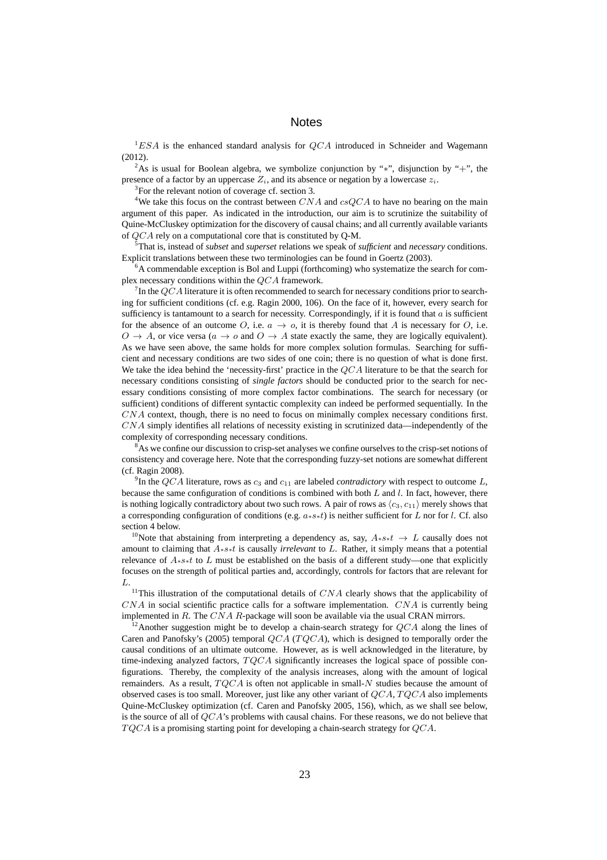#### **Notes**

 ${}^{1}ESA$  is the enhanced standard analysis for  $QCA$  introduced in Schneider and Wagemann (2012).

<sup>2</sup>As is usual for Boolean algebra, we symbolize conjunction by "\*", disjunction by "+", the presence of a factor by an uppercase  $Z_i$ , and its absence or negation by a lowercase  $z_i$ .

<sup>3</sup>For the relevant notion of coverage cf. section 3.

<sup>4</sup>We take this focus on the contrast between  $CNA$  and  $csQCA$  to have no bearing on the main argument of this paper. As indicated in the introduction, our aim is to scrutinize the suitability of Quine-McCluskey optimization for the discovery of causal chains; and all currently available variants of QCA rely on a computational core that is constituted by Q-M.

<sup>5</sup>That is, instead of *subset* and *superset* relations we speak of *sufficient* and *necessary* conditions. Explicit translations between these two terminologies can be found in Goertz (2003).

 $6A$  commendable exception is Bol and Luppi (forthcoming) who systematize the search for complex necessary conditions within the QCA framework.

<sup>7</sup>In the QCA literature it is often recommended to search for necessary conditions prior to searching for sufficient conditions (cf. e.g. Ragin 2000, 106). On the face of it, however, every search for sufficiency is tantamount to a search for necessity. Correspondingly, if it is found that  $a$  is sufficient for the absence of an outcome O, i.e.  $a \to o$ , it is thereby found that A is necessary for O, i.e.  $O \rightarrow A$ , or vice versa ( $a \rightarrow o$  and  $O \rightarrow A$  state exactly the same, they are logically equivalent). As we have seen above, the same holds for more complex solution formulas. Searching for sufficient and necessary conditions are two sides of one coin; there is no question of what is done first. We take the idea behind the 'necessity-first' practice in the QCA literature to be that the search for necessary conditions consisting of *single factors* should be conducted prior to the search for necessary conditions consisting of more complex factor combinations. The search for necessary (or sufficient) conditions of different syntactic complexity can indeed be performed sequentially. In the CNA context, though, there is no need to focus on minimally complex necessary conditions first. CNA simply identifies all relations of necessity existing in scrutinized data—independently of the complexity of corresponding necessary conditions.

 $8<sup>8</sup>$ As we confine our discussion to crisp-set analyses we confine ourselves to the crisp-set notions of consistency and coverage here. Note that the corresponding fuzzy-set notions are somewhat different (cf. Ragin 2008).

<sup>9</sup>In the QCA literature, rows as  $c_3$  and  $c_{11}$  are labeled *contradictory* with respect to outcome L, because the same configuration of conditions is combined with both  $L$  and  $l$ . In fact, however, there is nothing logically contradictory about two such rows. A pair of rows as  $\langle c_3, c_{11} \rangle$  merely shows that a corresponding configuration of conditions (e.g.  $a**t$ ) is neither sufficient for L nor for l. Cf. also section 4 below.

<sup>10</sup>Note that abstaining from interpreting a dependency as, say,  $A* s*t \rightarrow L$  causally does not amount to claiming that A∗s∗t is causally *irrelevant* to L. Rather, it simply means that a potential relevance of A∗s∗t to L must be established on the basis of a different study—one that explicitly focuses on the strength of political parties and, accordingly, controls for factors that are relevant for L.

<sup>11</sup>This illustration of the computational details of  $CNA$  clearly shows that the applicability of  $CNA$  in social scientific practice calls for a software implementation.  $CNA$  is currently being implemented in R. The  $CNA$  R-package will soon be available via the usual CRAN mirrors.

<sup>12</sup> Another suggestion might be to develop a chain-search strategy for  $QCA$  along the lines of Caren and Panofsky's (2005) temporal  $QCA$  ( $TQCA$ ), which is designed to temporally order the causal conditions of an ultimate outcome. However, as is well acknowledged in the literature, by time-indexing analyzed factors,  $TQCA$  significantly increases the logical space of possible configurations. Thereby, the complexity of the analysis increases, along with the amount of logical remainders. As a result,  $TQCA$  is often not applicable in small-N studies because the amount of observed cases is too small. Moreover, just like any other variant of  $QCA, TQCA$  also implements Quine-McCluskey optimization (cf. Caren and Panofsky 2005, 156), which, as we shall see below, is the source of all of  $QCA$ 's problems with causal chains. For these reasons, we do not believe that  $TQCA$  is a promising starting point for developing a chain-search strategy for  $QCA$ .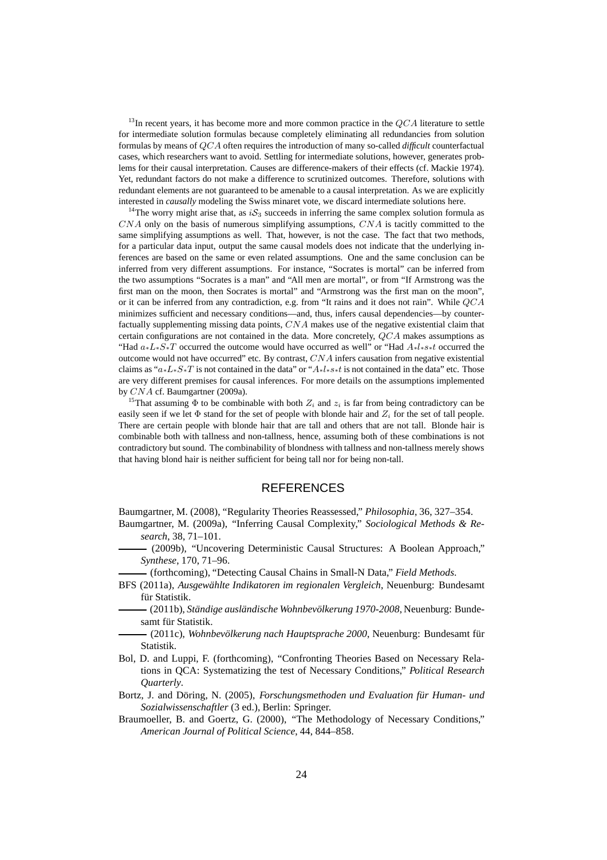<sup>13</sup>In recent years, it has become more and more common practice in the  $QCA$  literature to settle for intermediate solution formulas because completely eliminating all redundancies from solution formulas by means of QCA often requires the introduction of many so-called *difficult* counterfactual cases, which researchers want to avoid. Settling for intermediate solutions, however, generates problems for their causal interpretation. Causes are difference-makers of their effects (cf. Mackie 1974). Yet, redundant factors do not make a difference to scrutinized outcomes. Therefore, solutions with redundant elements are not guaranteed to be amenable to a causal interpretation. As we are explicitly interested in *causally* modeling the Swiss minaret vote, we discard intermediate solutions here.

<sup>14</sup>The worry might arise that, as  $iS_3$  succeeds in inferring the same complex solution formula as  $CNA$  only on the basis of numerous simplifying assumptions,  $CNA$  is tacitly committed to the same simplifying assumptions as well. That, however, is not the case. The fact that two methods, for a particular data input, output the same causal models does not indicate that the underlying inferences are based on the same or even related assumptions. One and the same conclusion can be inferred from very different assumptions. For instance, "Socrates is mortal" can be inferred from the two assumptions "Socrates is a man" and "All men are mortal", or from "If Armstrong was the first man on the moon, then Socrates is mortal" and "Armstrong was the first man on the moon", or it can be inferred from any contradiction, e.g. from "It rains and it does not rain". While  $QCA$ minimizes sufficient and necessary conditions—and, thus, infers causal dependencies—by counterfactually supplementing missing data points, CNA makes use of the negative existential claim that certain configurations are not contained in the data. More concretely, QCA makes assumptions as "Had  $a_*L_*S_*T$  occurred the outcome would have occurred as well" or "Had  $A_*l_*s_*t$  occurred the outcome would not have occurred" etc. By contrast,  $CNA$  infers causation from negative existential claims as "a∗L∗S∗T is not contained in the data" or "A∗l∗s∗t is not contained in the data" etc. Those are very different premises for causal inferences. For more details on the assumptions implemented by CNA cf. Baumgartner (2009a).

<sup>15</sup>That assuming  $\Phi$  to be combinable with both  $Z_i$  and  $z_i$  is far from being contradictory can be easily seen if we let  $\Phi$  stand for the set of people with blonde hair and  $Z_i$  for the set of tall people. There are certain people with blonde hair that are tall and others that are not tall. Blonde hair is combinable both with tallness and non-tallness, hence, assuming both of these combinations is not contradictory but sound. The combinability of blondness with tallness and non-tallness merely shows that having blond hair is neither sufficient for being tall nor for being non-tall.

#### **REFERENCES**

Baumgartner, M. (2008), "Regularity Theories Reassessed," *Philosophia*, 36, 327–354.

- Baumgartner, M. (2009a), "Inferring Causal Complexity," *Sociological Methods & Research*, 38, 71–101.
	- (2009b), "Uncovering Deterministic Causal Structures: A Boolean Approach," *Synthese*, 170, 71–96.
- (forthcoming), "Detecting Causal Chains in Small-N Data," *Field Methods*.
- BFS (2011a), *Ausgewählte Indikatoren im regionalen Vergleich*, Neuenburg: Bundesamt für Statistik.
- (2011b), *Ständige ausländische Wohnbevölkerung 1970-2008*, Neuenburg: Bundesamt für Statistik.
- (2011c), *Wohnbevölkerung nach Hauptsprache 2000*, Neuenburg: Bundesamt für Statistik.
- Bol, D. and Luppi, F. (forthcoming), "Confronting Theories Based on Necessary Relations in QCA: Systematizing the test of Necessary Conditions," *Political Research Quarterly*.
- Bortz, J. and Döring, N. (2005), *Forschungsmethoden und Evaluation für Human- und Sozialwissenschaftler* (3 ed.), Berlin: Springer.
- Braumoeller, B. and Goertz, G. (2000), "The Methodology of Necessary Conditions," *American Journal of Political Science*, 44, 844–858.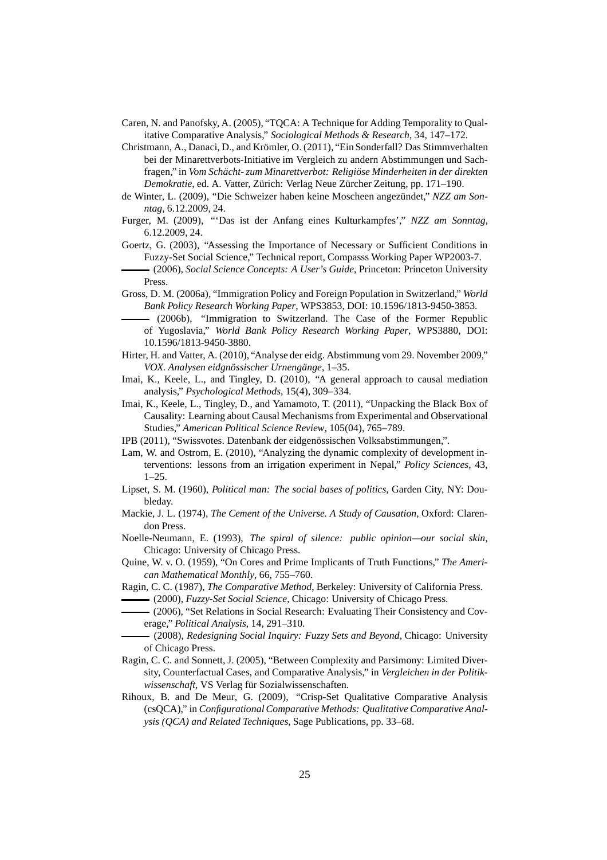- Caren, N. and Panofsky, A. (2005), "TQCA: A Technique for Adding Temporality to Qualitative Comparative Analysis," *Sociological Methods & Research*, 34, 147–172.
- Christmann, A., Danaci, D., and Krömler, O. (2011), "Ein Sonderfall? Das Stimmverhalten bei der Minarettverbots-Initiative im Vergleich zu andern Abstimmungen und Sachfragen," in *Vom Schächt- zum Minarettverbot: Religiöse Minderheiten in der direkten Demokratie*, ed. A. Vatter, Zürich: Verlag Neue Zürcher Zeitung, pp. 171–190.
- de Winter, L. (2009), "Die Schweizer haben keine Moscheen angezündet," *NZZ am Sonntag*, 6.12.2009, 24.
- Furger, M. (2009), "'Das ist der Anfang eines Kulturkampfes'," *NZZ am Sonntag*, 6.12.2009, 24.
- Goertz, G. (2003), "Assessing the Importance of Necessary or Sufficient Conditions in Fuzzy-Set Social Science," Technical report, Compasss Working Paper WP2003-7.
- (2006), *Social Science Concepts: A User's Guide*, Princeton: Princeton University Press.
- Gross, D. M. (2006a), "Immigration Policy and Foreign Population in Switzerland," *World Bank Policy Research Working Paper*, WPS3853, DOI: 10.1596/1813-9450-3853.
	- (2006b), "Immigration to Switzerland. The Case of the Former Republic of Yugoslavia," *World Bank Policy Research Working Paper*, WPS3880, DOI: 10.1596/1813-9450-3880.
- Hirter, H. and Vatter, A. (2010), "Analyse der eidg. Abstimmung vom 29. November 2009," *VOX. Analysen eidgnössischer Urnengänge*, 1–35.
- Imai, K., Keele, L., and Tingley, D. (2010), "A general approach to causal mediation analysis," *Psychological Methods*, 15(4), 309–334.
- Imai, K., Keele, L., Tingley, D., and Yamamoto, T. (2011), "Unpacking the Black Box of Causality: Learning about Causal Mechanisms from Experimental and Observational Studies," *American Political Science Review*, 105(04), 765–789.
- IPB (2011), "Swissvotes. Datenbank der eidgenössischen Volksabstimmungen,".
- Lam, W. and Ostrom, E. (2010), "Analyzing the dynamic complexity of development interventions: lessons from an irrigation experiment in Nepal," *Policy Sciences*, 43,  $1-25.$
- Lipset, S. M. (1960), *Political man: The social bases of politics*, Garden City, NY: Doubleday.
- Mackie, J. L. (1974), *The Cement of the Universe. A Study of Causation*, Oxford: Clarendon Press.
- Noelle-Neumann, E. (1993), *The spiral of silence: public opinion—our social skin*, Chicago: University of Chicago Press.
- Quine, W. v. O. (1959), "On Cores and Prime Implicants of Truth Functions," *The American Mathematical Monthly*, 66, 755–760.
- Ragin, C. C. (1987), *The Comparative Method*, Berkeley: University of California Press.
- (2000), *Fuzzy-Set Social Science*, Chicago: University of Chicago Press.
- (2006), "Set Relations in Social Research: Evaluating Their Consistency and Coverage," *Political Analysis*, 14, 291–310.
- (2008), *Redesigning Social Inquiry: Fuzzy Sets and Beyond*, Chicago: University of Chicago Press.
- Ragin, C. C. and Sonnett, J. (2005), "Between Complexity and Parsimony: Limited Diversity, Counterfactual Cases, and Comparative Analysis," in *Vergleichen in der Politikwissenschaft*, VS Verlag für Sozialwissenschaften.
- Rihoux, B. and De Meur, G. (2009), "Crisp-Set Qualitative Comparative Analysis (csQCA)," in *Configurational Comparative Methods: Qualitative Comparative Analysis (QCA) and Related Techniques*, Sage Publications, pp. 33–68.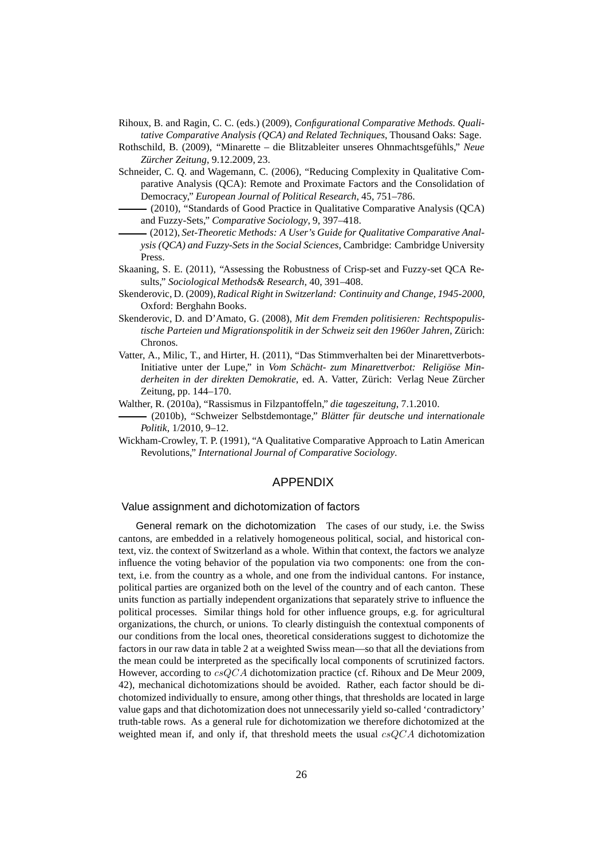- Rihoux, B. and Ragin, C. C. (eds.) (2009), *Configurational Comparative Methods. Qualitative Comparative Analysis (QCA) and Related Techniques*, Thousand Oaks: Sage.
- Rothschild, B. (2009), "Minarette die Blitzableiter unseres Ohnmachtsgefühls," *Neue Zürcher Zeitung*, 9.12.2009, 23.
- Schneider, C. Q. and Wagemann, C. (2006), "Reducing Complexity in Qualitative Comparative Analysis (QCA): Remote and Proximate Factors and the Consolidation of Democracy," *European Journal of Political Research*, 45, 751–786.
	- (2010), "Standards of Good Practice in Qualitative Comparative Analysis (QCA) and Fuzzy-Sets," *Comparative Sociology*, 9, 397–418.
- (2012), *Set-Theoretic Methods: A User's Guide for Qualitative Comparative Analysis (QCA) and Fuzzy-Sets in the Social Sciences*, Cambridge: Cambridge University Press.
- Skaaning, S. E. (2011), "Assessing the Robustness of Crisp-set and Fuzzy-set QCA Results," *Sociological Methods& Research*, 40, 391–408.
- Skenderovic, D. (2009),*Radical Right in Switzerland: Continuity and Change, 1945-2000*, Oxford: Berghahn Books.
- Skenderovic, D. and D'Amato, G. (2008), *Mit dem Fremden politisieren: Rechtspopulistische Parteien und Migrationspolitik in der Schweiz seit den 1960er Jahren*, Zürich: Chronos.
- Vatter, A., Milic, T., and Hirter, H. (2011), "Das Stimmverhalten bei der Minarettverbots-Initiative unter der Lupe," in *Vom Schächt- zum Minarettverbot: Religiöse Minderheiten in der direkten Demokratie*, ed. A. Vatter, Zürich: Verlag Neue Zürcher Zeitung, pp. 144–170.
- Walther, R. (2010a), "Rassismus in Filzpantoffeln," *die tageszeitung*, 7.1.2010.
- (2010b), "Schweizer Selbstdemontage," *Blätter für deutsche und internationale Politik*, 1/2010, 9–12.
- Wickham-Crowley, T. P. (1991), "A Qualitative Comparative Approach to Latin American Revolutions," *International Journal of Comparative Sociology*.

#### APPENDIX

#### Value assignment and dichotomization of factors

General remark on the dichotomization The cases of our study, i.e. the Swiss cantons, are embedded in a relatively homogeneous political, social, and historical context, viz. the context of Switzerland as a whole. Within that context, the factors we analyze influence the voting behavior of the population via two components: one from the context, i.e. from the country as a whole, and one from the individual cantons. For instance, political parties are organized both on the level of the country and of each canton. These units function as partially independent organizations that separately strive to influence the political processes. Similar things hold for other influence groups, e.g. for agricultural organizations, the church, or unions. To clearly distinguish the contextual components of our conditions from the local ones, theoretical considerations suggest to dichotomize the factors in our raw data in table 2 at a weighted Swiss mean—so that all the deviations from the mean could be interpreted as the specifically local components of scrutinized factors. However, according to csQCA dichotomization practice (cf. Rihoux and De Meur 2009, 42), mechanical dichotomizations should be avoided. Rather, each factor should be dichotomized individually to ensure, among other things, that thresholds are located in large value gaps and that dichotomization does not unnecessarily yield so-called 'contradictory' truth-table rows. As a general rule for dichotomization we therefore dichotomized at the weighted mean if, and only if, that threshold meets the usual  $csQCA$  dichotomization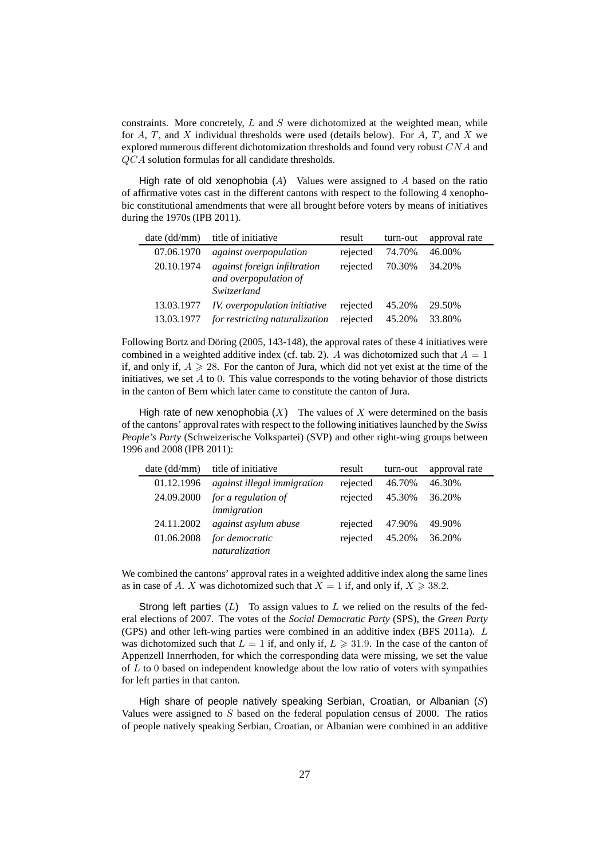constraints. More concretely,  $L$  and  $S$  were dichotomized at the weighted mean, while for  $A, T$ , and  $X$  individual thresholds were used (details below). For  $A, T$ , and  $X$  we explored numerous different dichotomization thresholds and found very robust CNA and QCA solution formulas for all candidate thresholds.

High rate of old xenophobia  $(A)$  Values were assigned to A based on the ratio of affirmative votes cast in the different cantons with respect to the following 4 xenophobic constitutional amendments that were all brought before voters by means of initiatives during the 1970s (IPB 2011).

| date (dd/mm) | title of initiative                                                         | result   | turn-out | approval rate |
|--------------|-----------------------------------------------------------------------------|----------|----------|---------------|
| 07.06.1970   | <i>against overpopulation</i>                                               | rejected | 74.70%   | 46.00%        |
| 20.10.1974   | <i>against foreign infiltration</i><br>and overpopulation of<br>Switzerland | rejected | 70.30%   | 34.20%        |
| 13.03.1977   | IV. overpopulation initiative                                               | rejected | 45.20%   | 29.50%        |
| 13.03.1977   | for restricting naturalization                                              | rejected | 45.20%   | 33.80%        |

Following Bortz and Döring (2005, 143-148), the approval rates of these 4 initiatives were combined in a weighted additive index (cf. tab. 2). A was dichotomized such that  $A = 1$ if, and only if,  $A \ge 28$ . For the canton of Jura, which did not yet exist at the time of the initiatives, we set  $A$  to 0. This value corresponds to the voting behavior of those districts in the canton of Bern which later came to constitute the canton of Jura.

High rate of new xenophobia  $(X)$  The values of X were determined on the basis of the cantons' approval rates with respect to the following initiatives launched by the *Swiss People's Party* (Schweizerische Volkspartei) (SVP) and other right-wing groups between 1996 and 2008 (IPB 2011):

| date (dd/mm) | title of initiative                | result   | turn-out | approval rate |
|--------------|------------------------------------|----------|----------|---------------|
| 01.12.1996   | against illegal immigration        | rejected | 46.70%   | 46.30%        |
| 24.09.2000   | for a regulation of<br>immigration | rejected | 45.30%   | 36.20%        |
| 24.11.2002   | against asylum abuse               | rejected | 47.90%   | 49.90%        |
| 01.06.2008   | for democratic<br>naturalization   | rejected | 45.20%   | 36.20%        |

We combined the cantons' approval rates in a weighted additive index along the same lines as in case of A. X was dichotomized such that  $X = 1$  if, and only if,  $X \ge 38.2$ .

Strong left parties  $(L)$  To assign values to L we relied on the results of the federal elections of 2007. The votes of the *Social Democratic Party* (SPS), the *Green Party* (GPS) and other left-wing parties were combined in an additive index (BFS 2011a). L was dichotomized such that  $L = 1$  if, and only if,  $L \ge 31.9$ . In the case of the canton of Appenzell Innerrhoden, for which the corresponding data were missing, we set the value of  $L$  to 0 based on independent knowledge about the low ratio of voters with sympathies for left parties in that canton.

High share of people natively speaking Serbian, Croatian, or Albanian  $(S)$ Values were assigned to S based on the federal population census of 2000. The ratios of people natively speaking Serbian, Croatian, or Albanian were combined in an additive